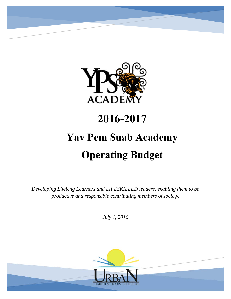

## **2016-2017**

# **Yav Pem Suab Academy Operating Budget**

*Developing Lifelong Learners and LIFESKILLED leaders, enabling them to be productive and responsible contributing members of society.* 

*July 1, 2016* 

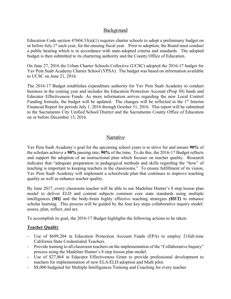## **Background**

Education Code section 47604.33(a)(1) requires charter schools to adopt a preliminary budget on or before July 1<sup>st</sup> each year, for the ensuing fiscal year. Prior to adoption, the Board must conduct a public hearing which is in accordance with state-adopted criteria and standards. The adopted budget is then submitted to its chartering authority and the County Office of Education.

On June 27, 2016 the Urban Charter Schools Collective (UCSC) adopted the 2016-17 budget for Yav Pem Suab Academy Charter School (YPSA). The budget was based on information available to UCSC on June 21, 2016.

The 2016-17 Budget establishes expenditure authority for Yav Pem Suab Academy to conduct business in the coming year and includes the Education Protection Account (Prop 30) funds and Educator Effectiveness Funds. As more information arrives regarding the new Local Control Funding formula, the budget will be updated. The changes will be reflected in the  $1<sup>st</sup>$  Interim Financial Report for periods July 1, 2016 through October 31, 2016. This report will be submitted to the Sacramento City Unified School District and the Sacramento County Office of Education on or before December 15, 2016.

## Narrative

Yav Pem Suab Academy's goal for the upcoming school years is to strive for and ensure **90%** of the scholars achieve a **90%** passing rate, **90%** of the time**.** To do this, the 2016-17 Budget reflects and support the adoption of an instructional plan which focuses on teacher quality. Research indicates that "adequate preparation in pedagogical methods and skills regarding the "how" of teaching is important to keeping teachers in the classrooms." To ensure fulfillment of its vision, Yav Pem Suab Academy will implement a schoolwide plan that continues to improve teaching quality as well as enhance teacher quality.

By June 2017, every classroom teacher will be able to use Madeline Hunter's 8 step lesson plan model to deliver ELD and content subjects common core state standards using multiple intelligences *(MI)* and the body-brain highly effective teaching strategies *(HET)* to enhance scholar learning. This process will be guided by the four key steps collaborative inquiry model: assess, plan, reflect, and act.

To accomplish its goal, the 2016-17 Budget highlights the following actions to be taken:

## **Teacher Quality**

- Use of \$699,204 in Education Protection Account Funds (EPA) to employ 21full-time California State Credentialed Teachers.
- Provide training to all classroom teachers on the implementation of the "Collaborative Inquiry" process using the Madeline Hunter's 8 step lesson plan model.
- Use of \$27,864 in Educator Effectiveness Grant to provide professional development to teachers for implementation of new ELA/ELD adoption and Math pilot.
- \$8,000 budgeted for Multiple Intelligences Training and Coaching for every teacher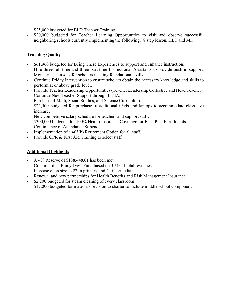- \$25,000 budgeted for ELD Teacher Training
- \$20,000 budgeted for Teacher Learning Opportunities to visit and observe successful neighboring schools currently implementing the following: 8 step lesson, HET and MI.

## **Teaching Quality**

- \$61,960 budgeted for Being There Experiences to support and enhance instruction.
- Hire three full-time and three part-time Instructional Assistants to provide push-in support, Monday – Thursday for scholars needing foundational skills.
- Continue Friday Intervention to ensure scholars obtain the necessary knowledge and skills to perform at or above grade level.
- Provide Teacher Leadership Opportunities (Teacher Leadership Collective and Head Teacher).
- Continue New Teacher Support through BTSA.
- Purchase of Math, Social Studies, and Science Curriculum.
- \$22,500 budgeted for purchase of additional iPads and laptops to accommodate class size increase.
- New competitive salary schedule for teachers and support staff.
- \$300,000 budgeted for 100% Health Insurance Coverage for Base Plan Enrollments.
- Continuance of Attendance Stipend.
- Implementation of a 403(b) Retirement Option for all staff.
- Provide CPR & First Aid Training to select staff.

## **Additional Highlights**

- A 4% Reserve of \$188,448.01 has been met.
- Creation of a "Rainy Day" Fund based on 3.2% of total revenues.
- Increase class size to 22 in primary and 24 intermediate
- Renewal and new partnerships for Health Benefits and Risk Management Insurance
- \$2,200 budgeted for steam cleaning of every classroom
- \$12,000 budgeted for materials revision to charter to include middle school component.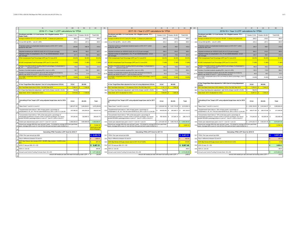38

|                                                                                                                                                                                                                            | -am           | <b>AN</b>       | $\mathbf{A}$                        | AU.     |                                                                                                                                                                                                                                |                 | $\mathbf{A}$                                 | A11             | <b>AW</b> |                                                                                                                                                                                                                                |                 | AZ.                                           |           |
|----------------------------------------------------------------------------------------------------------------------------------------------------------------------------------------------------------------------------|---------------|-----------------|-------------------------------------|---------|--------------------------------------------------------------------------------------------------------------------------------------------------------------------------------------------------------------------------------|-----------------|----------------------------------------------|-----------------|-----------|--------------------------------------------------------------------------------------------------------------------------------------------------------------------------------------------------------------------------------|-----------------|-----------------------------------------------|-----------|
| 2016-17 = Year 1 LCFF calculations for YPSA                                                                                                                                                                                |               |                 |                                     |         | 2017-18 = Year 2 LCFF calculations for YPSA                                                                                                                                                                                    |                 |                                              |                 |           | 2018-19 = Year 3 LCFF calculations for YPSA                                                                                                                                                                                    |                 |                                               |           |
| Enrollment and ADA. LI = Low Income. EL = English Learner. FY =<br>Foster Youth                                                                                                                                            | Grades: K-3rd | Grades: 4th-6th | Total K-6th                         |         | Enrollment and ADA. LI = Low Income. EL = English Learner. FY =<br>Foster Youth.                                                                                                                                               | Grades: K-3rd   | Grades: 4th-6th                              | Total K-6th     |           | Enrollment and ADA. LI = Low Income. EL = English Learner. FY =<br><b>Foster Youth</b>                                                                                                                                         | Grades: K-3rd   | Grades: 4th-6th                               | Total K-6 |
| Average enrollment 22 in K-3 and 24 in 4th-6th. 3 classes per grade level.                                                                                                                                                 | 264.0         | 216.0           | 480.0                               |         | A-1 Average enrollment 22 in K-3 and 24 in 4th-6th. 3 classes per grade level.                                                                                                                                                 | 264.0           | 216.0                                        | 480.0           |           | A-1 Average enrollment 22 in K-3 and 24 in 4th-6th. 3 classes per grade level.                                                                                                                                                 | 264.0           | 216.0                                         |           |
| Annual ADA @ 96%. Line A1 x 96%                                                                                                                                                                                            | 253.4         | 207.4           | 460.8                               |         | A-2 Annual ADA @ 96%. Line A1 x 96%                                                                                                                                                                                            | 253.4           | 207.4                                        | 460.8           |           | A-2 Annual ADA @ 96%. Line A1 x 96%                                                                                                                                                                                            | 253.4           | 207.4                                         |           |
| Projected number of unduplicated students based on 2015-16 P-1 which<br>showed 87 38% UPP                                                                                                                                  | 230.68        | 188 74          | 4194                                | $A-3$   | Projected number of unduplicated students based on 2015-16 P-1 which<br>showed 87 38% UPP                                                                                                                                      | 230.7           | 188.7                                        | 419.4           |           | A-3 Projected number of unduplicated students based on 2015-16 P-1 which<br>showed 87 38% UPP                                                                                                                                  | 230.7           | 188.7                                         |           |
| Adjusted enrollment per 42238.02 (b)(5) (A) to (C) [3-year average]                                                                                                                                                        | 248.46        | 189.2           | 437.7                               |         | A-4 Adjusted enrollment per 42238.02 (b)(5) (A) to (C) [3-year average]                                                                                                                                                        | 256.0           | 204.0                                        | 460.0           |           | A-4 Adjusted enrollment per 42238.02 (b)(5) (A) to (C) [3-year average]                                                                                                                                                        | 264.0           | 216.0                                         |           |
| Adjusted number of unduplicated LI, EL, FY per 42238.02(b)(5)(A) - (C) [3-<br>year average]                                                                                                                                | 217.1         | 165.3           | 382.4                               | $A-5$   | Adjusted number of unduplicated LI, EL, FY per 42238.02(b)(5)(A) - (C) [3-<br>ear average]                                                                                                                                     | 223.7           | 178.3                                        | 401.9           | $A-5$     | Adjusted number of unduplicated LI, EL, FY per 42238.02(b)(5)(A) - (C) [3-<br>year average]                                                                                                                                    | 230.7           | 188.7                                         |           |
| YPSA Unduplicated Pupil Percentage (UPP) per P-2 June 2016                                                                                                                                                                 | 85.05%        | 85.059          | 85.059                              |         | A-6 YPSA Unduplicated Pupil Percentage (UPP) per P-2 June 2016                                                                                                                                                                 | 85.05%          | 85.05%                                       | 85.05%          |           | A-6 YPSA Unduplicated Pupil Percentage (UPP) per P-2 June 2016                                                                                                                                                                 | 85.05%          | 85.05%                                        |           |
| SCUSD Unduplicated Pupil Percentage (UPP) per P-2 June 2016                                                                                                                                                                | 71.88%        | 71.889          | 71.889                              |         | A-7 SCUSD Unduplicated Pupil Percentage (UPP) per P-2 June 2016                                                                                                                                                                | 71.889          | 71.889                                       | 71.889          |           | A-7 SCUSD Unduplicated Pupil Percentage (UPP) per P-2 June 2016                                                                                                                                                                | 71.88%          | 71.889                                        |           |
| Number of enrolled students equaling district's percentage of unduplicated LI,<br>EL. FY. Line A-4 x Line A-7.                                                                                                             | 178.6         | 136.0           | 314.6                               | $A - 8$ | Number of enrolled students equaling district's percentage of unduplicated LI,<br>FI FY<br>Line A-4 x Line A-7                                                                                                                 | 184.0           | 146.6                                        | 330.6           | $A - B$   | Number of enrolled students equaling district's percentage of unduplicated LI,<br>EL. FY. Line A-4 x Line A-7.                                                                                                                 | 189.8           | 155.3                                         |           |
| Number of enrolled students equaling 55%. Line A-4 x 55%                                                                                                                                                                   | 136.7         | 104.1           | 240.7                               | $A-9$   | Number of enrolled students equaling 55%. Line A-4 x 55%                                                                                                                                                                       | 140.8           | 112.2                                        | 253.0           |           | A-9 Number of enrolled students equaling 55%. Line A-4 x 55%                                                                                                                                                                   | 145.2           | 118.8                                         |           |
| Number of unduplicated students above the 55% threshold but limited by<br>district's cap shown in Line A-7. Line A-8 minus Line A-9.                                                                                       | 41.9          | 31.9            | 73.9                                | A-10    | Number of unduplicated students above the 55% threshold but limited by<br>district's cap shown in Line A-7. Line A-8 minus Line A-9.                                                                                           | 43.2            | 34.4                                         | 77.6            | A-10      | Number of unduplicated students above the 55% threshold but limited by<br>district's cap shown in Line A-7. Line A-8 minus Line A-9.                                                                                           | 44.6            | 36.5                                          |           |
| Percentage unduplicated above 55% but limited by district percentage. Line A-7<br>14 minus 55%.                                                                                                                            | 16.88         | 16.889          | 16.88                               | A-11    | Percentage unduplicated above 55% but limited by district percentage. Line A-7<br>minus 55%                                                                                                                                    | 16.889          | 16.88%                                       | 16.889          |           | A-11 <sup>Percentage</sup> unduplicated above 55% but limited by district percentage. Line A-1<br>minus 55%.                                                                                                                   | 16.88           | 16.889                                        |           |
|                                                                                                                                                                                                                            |               |                 |                                     |         |                                                                                                                                                                                                                                |                 |                                              |                 |           |                                                                                                                                                                                                                                |                 |                                               |           |
| 8-Year Target Base Rate adjusted Cost of Living Adjustment (COLA)                                                                                                                                                          | K-3rd         | 4th-6th         |                                     |         | 8-Year Target Base Rate adjusted for Cost of Living Adjustment (COLA)                                                                                                                                                          | K-3rd           | 4th-6th                                      |                 |           | 8-Year Target Base Rate adjusted for 1.00% Cost of Living Adjustment<br>(COLA)                                                                                                                                                 | K-3rd           | 4th-6th                                       |           |
| <sub>20</sub> Prior Year Base Grant plus 0 COLA. Per SSC May 2016                                                                                                                                                          | 7.082.51      | 7.188.5         |                                     | $B-1$   | <b>Trior Year Base Grant plus 1.11% statutory COLA, Per SSC May 2016</b>                                                                                                                                                       | 7.161.13        | 7.268.3                                      |                 |           | B-1 Prior Year Base Grant plus 2.42% statutory COLA, Per SSC May 2016                                                                                                                                                          | 7.334.43        | 7.444.27                                      |           |
| K-3 Class Size Reduction adjustment - add 10.4% of base. Line B1 x 10.4%                                                                                                                                                   | 736.58        |                 |                                     | $R-2$   | K-3 Class Size Reduction adjustment - add 10.4% of base. Line B1 x 10.4%                                                                                                                                                       | 744 76          |                                              |                 |           | B-2 K-3 Class Size Reduction adjustment - add 10.4% of base. Line B1 x 10.4%                                                                                                                                                   | 762.78          |                                               |           |
| Base Grant 2016-17 adjusted for COLA                                                                                                                                                                                       | 7,819.09      | 7,188.5         |                                     | B-3     | Base Grant 2017-18 adjusted for COLA                                                                                                                                                                                           | 7,905.89        | 7,268.3                                      |                 | B-3       | Base Grant 2017-18 adjusted for COLA<br>S                                                                                                                                                                                      | 8,097.21 \$     | 7,444.27                                      |           |
| 23                                                                                                                                                                                                                         |               |                 |                                     |         |                                                                                                                                                                                                                                |                 |                                              |                 |           |                                                                                                                                                                                                                                |                 |                                               |           |
| Calculating 8-Year Target LCFF using adjusted target base rate for 2016-<br>17                                                                                                                                             | K-3rd         | 4th-6th         | Total                               |         | Calculating 8-Year Target LCFF using adjusted target base rate for 2017-                                                                                                                                                       | K-3rd           | 4th-6th                                      | Total           |           | Calculating 8-Year Target LCFF using adjusted target base rate for 2018-                                                                                                                                                       | K-3rd           | 4th-6th                                       | Total     |
| "Base Grant." Line B-3 x Line A-2                                                                                                                                                                                          | 1,981,671.05  | 1.490.624.61    | 3,472,295.66                        | $C-1$   | "Base Grant." Line B-3 x Line A-2                                                                                                                                                                                              | \$2,003,667.60  | 1.507.170.55                                 | \$ 3,510,838.14 |           | C-1 "Base Grant." Line B-3 x Line A-2                                                                                                                                                                                          | 2,052,156.35 \$ | 1,543,644.07                                  | 3.595.    |
| "Supplemental Grant Add-on." 20% of base grants x percentage of<br>unduplicated LI. EL. & F. Per Ed Code 42238.02 (e), 20% x Line C1 x Line A6                                                                             | 337.082.25    | 253.555.25      | 590.637.49                          | $C-2$   | "Supplemental Grant Add-on." 20% of base grants x percentage of<br>unduplicated LI. EL. & F. Per Ed Code 42238.02 (e), 20% x Line C1 x Line A6                                                                                 |                 | 340.823.86 \$256.369.71                      | S 597.193.57    | $C-2$     | "Supplemental Grant Add-on." 20% of base grants x percentage of<br>unduplicated LI. EL. & F. Per Ed Code 42238.02 (e), 20% x Line C1 x Line A6                                                                                 | 349.071.80 S    | 262.573.86                                    | 611.      |
| "Concentration Grant Add-on." 50% of the base grant x percentage of<br>unduplicated enrollment in excess of 55% of school's enrollment. but cannot<br>exceed SCUSD's parentage shown in Line A-7. Line C1 x 50% x Line A11 | 167,253.04    | 125,808.72      | 293.061.75                          |         | "Concentration Grant Add-on." 50% of the base grant x percentage of<br>C-3 unduplicated enrollment in excess of 55% of school's enrollment, but cannot<br>exceed SCUSD's parentage shown in Line A-7. Line C1 x 50% x Line A11 | \$169,109.55 \$ | 127,205.19 \$                                | 296,314.74      |           | "Concentration Grant Add-on." 50% of the base grant x percentage of<br>C-3 unduplicated enrollment in excess of 55% of school's enrollment, but cannot<br>exceed SCUSD's parentage shown in Line A-7. Line C1 x 50% x Line A11 | 173,202.00 \$   | 130,283.56                                    | 303.      |
| Grade span adjusted base grant. Line C1 + Line C2 + Line C3                                                                                                                                                                | 2.486.006.33  | 1.869.988.58    | 4.355.994.91                        |         | C-4 Grade span adjusted base grant. Line C1 + Line C2 + Line C3                                                                                                                                                                |                 | \$2.513.601.00 \$1.890.745.45 \$4.404.346.45 |                 |           | C-4 Grade span adjusted base grant. Line C1 + Line C2 + Line C3                                                                                                                                                                |                 | \$2.574.430.15 \$1.936.501.49<br>$\mathbf{s}$ | 4.510.    |
| Amount per average ADA this year and last 2 years. C4 divided by average ADA from past three<br>years. Average ADA is sum of Line A2 from this year and last 2 years divided by 3.                                         |               |                 | 10,304.19                           | $C-5$   | Amount per average ADA this year and last 2 years. C4 divided by average ADA from past three<br>years. Average ADA is sum of Line A2 from this year and last 2 years divided by 3.                                             |                 |                                              | 9,920.15        | $C-5$     | Amount per average ADA this year and last 2 years. C4 divided by average ADA from past three<br>years. Average ADA is sum of Line A2 from this year and last 2 years divided by 3.                                             |                 |                                               | 9.3       |
|                                                                                                                                                                                                                            |               |                 | check above with<br>P-2 or P-Annual |         |                                                                                                                                                                                                                                |                 |                                              |                 |           |                                                                                                                                                                                                                                |                 |                                               |           |
| Calculating YPSA Transition LCFF Grant for 2016-17                                                                                                                                                                         |               |                 |                                     |         | Calculating YPSA LCFF Grant for 2017-18                                                                                                                                                                                        |                 |                                              |                 |           | Calculating YPSA LCFF Grant for 2018-19                                                                                                                                                                                        |                 |                                               |           |
| YPSA Prior year amount per ADA                                                                                                                                                                                             |               |                 | \$8,495.78                          |         | D-1 YPSA Prior year amount per ADA                                                                                                                                                                                             |                 |                                              | 9.487.51        |           | D-1 YPSA Prior year amount per ADA                                                                                                                                                                                             |                 |                                               | 9.80      |
| Gap or difference between C5 and D1                                                                                                                                                                                        |               |                 | 1.808.41                            |         | D-2 Gap or difference between C5 and D1                                                                                                                                                                                        |                 |                                              | 432.63          |           | D-2 Gap or difference between C5 and D1                                                                                                                                                                                        |                 |                                               |           |
| DOF Gap Closure rate January 2016 = 49.08%. May revision = 54.84% show                                                                                                                                                     |               |                 | 991.73                              | $D-3$   | DOF May Revise 2016 gap closure rate for 2017-18 of 73.96%                                                                                                                                                                     |                 |                                              | 319.97          |           | D-3 DOF May Revise 2016 gap closure rate for 2018-19 of 41.22%                                                                                                                                                                 |                 |                                               |           |
| 2016-17 rate per ADA. D1 + D3                                                                                                                                                                                              |               |                 | \$9.487.51                          |         | D-4 2017-18 rate per ADA. D1 + D3                                                                                                                                                                                              |                 |                                              | \$9.807.49      |           | D-4 2018-19 rate. D1 + D3                                                                                                                                                                                                      |                 |                                               | 9.1       |
| ADA on Line A2                                                                                                                                                                                                             |               |                 | 460.80                              |         | D-5 ADA on Line A2                                                                                                                                                                                                             |                 |                                              | 460.8           |           | D-5 ADA on Line A2                                                                                                                                                                                                             |                 |                                               |           |
| Annual Local Control Funding Formula Grant. D4 x D5                                                                                                                                                                        |               |                 | \$4,371,846.84                      |         | D-6 Annual Local Control Funding Formula Grant. D4 x D5                                                                                                                                                                        |                 |                                              | \$4,519,290.88  |           | D-6 Annual Local Control Funding Formula Grant. D4 x D5                                                                                                                                                                        |                 |                                               | 4.515.8   |
| amount still needed per ada until reach full funding under LCFF -> \$                                                                                                                                                      |               |                 | (34.40)                             |         | amount still needed per ada until reach full funding under LCFF ->                                                                                                                                                             |                 |                                              | (249.4)         |           | amount still needed per ada until reach full funding under LCFF ->                                                                                                                                                             |                 |                                               |           |

|                                                                    | AM.           |                 | AD          | AQ.     | AR.                                                                                                                                    | ٨S            |                 |             | AW      | AX                                                                                                                                   | AY            |       |
|--------------------------------------------------------------------|---------------|-----------------|-------------|---------|----------------------------------------------------------------------------------------------------------------------------------------|---------------|-----------------|-------------|---------|--------------------------------------------------------------------------------------------------------------------------------------|---------------|-------|
| 2016-17 = Year 1 LCFF calculations for YPSA                        |               |                 |             |         | 2017-18 = Year 2 LCFF calculations for YPSA                                                                                            |               |                 |             |         | 2018-19 = Year 3 LCFF calculations for YPSA                                                                                          |               |       |
| Income. EL = English Learner. FY =                                 | Grades: K-3rd | Grades: 4th-6th | Total K-6th |         | Enrollment and ADA. LI = Low Income. EL = English Learner. FY =<br>Foster Youth.                                                       | Grades: K-3rd | Grades: 4th-6th | Total K-6th |         | Enrollment and ADA. LI = Low Income. EL = English Learner. FY =<br><b>Foster Youth</b>                                               | Grades: K-3rd | Grade |
| 24 in 4th-6th. 3 classes per grade level.                          | 264.0         | 216.0           | 480.0       |         | A-1 Average enrollment 22 in K-3 and 24 in 4th-6th. 3 classes per grade level.                                                         | 264.0         | 216.0           | 480.0       |         | A-1 Average enrollment 22 in K-3 and 24 in 4th-6th. 3 classes per grade level.                                                       | 264.0         |       |
| 96%                                                                | 253.4         | 207.4           | 460.8       |         | A-2 Annual ADA @ 96%. Line A1 x 96%                                                                                                    | 253.4         | 207.4           | 460.8       |         | A-2 Annual ADA @ 96%. Line A1 x 96%                                                                                                  | 253.4         |       |
| d students based on 2015-16 P-1 which                              | 230.68        | 188.74          | 419.4       |         | A-3 Projected number of unduplicated students based on 2015-16 P-1 which<br>showed 87 38% UPP                                          | 230.7         | 1887            | 419.4       | $A-3$   | Projected number of unduplicated students based on 2015-16 P-1 which<br>showed 87 38% UPP                                            | 230.7         |       |
| 2 (b)(5) (A) to (C) [3-year average]                               | 248.46        | 189.2           | 437.7       |         | A-4 Adjusted enrollment per 42238.02 (b)(5) (A) to (C) [3-year average]                                                                | 256.0         | 204.0           | 460.0       |         | A-4 Adjusted enrollment per 42238.02 (b)(5) (A) to (C) [3-year average]                                                              | 264.0         |       |
| LI, EL, FY per 42238.02(b)(5)(A) - (C) [3-                         | 217.1         | 165.3           | 382.4       |         | A-5 Adjusted number of unduplicated LI, EL, FY per 42238.02(b)(5)(A) - (C) [3-<br>year average]                                        | 223.7         | 178.3           | 401.9       | $A - 5$ | Adjusted number of unduplicated LI, EL, FY per 42238.02(b)(5)(A) - (C) [3-<br>year average]                                          | 230.7         |       |
| tage (UPP) per P-2 June 2016                                       | 85.05%        | 85.05%          | 85.059      |         | A-6 YPSA Unduplicated Pupil Percentage (UPP) per P-2 June 2016                                                                         | 85.05%        | 85.05           | 85.05%      |         | A-6 YPSA Unduplicated Pupil Percentage (UPP) per P-2 June 2016                                                                       | 85.05%        |       |
| entage (UPP) per P-2 June 2016                                     | 71.88%        | 71 88%          | 71.88       |         | A-7 SCUSD Unduplicated Pupil Percentage (UPP) per P-2 June 2016                                                                        | 71.88%        | 71.88%          | 71,889      |         | A-7 SCUSD Unduplicated Pupil Percentage (UPP) per P-2 June 2016                                                                      | 71.889        |       |
| aling district's percentage of unduplicated LI,                    | 178.6         | 136.0           | 314.6       | $A - B$ | Number of enrolled students equaling district's percentage of unduplicated LI,<br>EL. FY.<br>Line A-4 x Line A-7                       | 184.0         | 146.6           | 330.6       | $A-8$   | Number of enrolled students equaling district's percentage of unduplicated LI,<br>EL. FY.<br>Line A-4 x Line A-7.                    | 189.8         |       |
| aling 55%. Line A-4 x 55%                                          | 136.7         | 104.1           | 240.7       |         | A-9 Number of enrolled students equaling 55%. Line A-4 x 55%                                                                           | 140.8         | 112.2           | 253.0       |         | A-9 Number of enrolled students equaling 55%. Line A-4 x 55%                                                                         | 145.2         |       |
| above the 55% threshold but limited by<br>Line A-8 minus Line A-9. | 41.9          | 31.9            | 73.9        |         | A-10 Number of unduplicated students above the 55% threshold but limited by district's cap shown in Line A-7. Line A-8 minus Line A-9. | 43.2          | 34.4            | 77.6        | $A-10$  | Number of unduplicated students above the 55% threshold but limited by<br>district's cap shown in Line A-7. Line A-8 minus Line A-9. | 44.6          |       |
| 5% but limited by district percentage. Line A-7                    | 16.889        | 16.88%          |             | $A-11$  | ercentage unduplicated above 55% but limited by district percentage. Line A-7<br>Same CON                                              | 16.88%        | 16.88           | 16.889      | A-11    | Percentage unduplicated above 55% but limited by district percentage. Line A-7<br>$m_1, \ldots, m_N$                                 | 16,88%        |       |

| 8-Year Target Base Rate adjusted for Cost of Living Adjustment (COLA)        | K-3rd        | 4th-6th  |
|------------------------------------------------------------------------------|--------------|----------|
| 1 Prior Year Base Grant plus 1.11% statutory COLA, Per SSC May 2016          | $7.161.13$ S | 7.268.38 |
| 2   K-3 Class Size Reduction adjustment - add 10.4% of base. Line B1 x 10.4% | 744.76       |          |
| Base Grant 2017-18 adjusted for COLA                                         | $7.905.89$ S | 7.268.38 |

|       | Calculating 8-Year Target LCFF using adjusted target base rate for 2017-<br>18                                                                                                                                                 |   | K-3rd        |   | 4th-6th      |    | Total        |       |
|-------|--------------------------------------------------------------------------------------------------------------------------------------------------------------------------------------------------------------------------------|---|--------------|---|--------------|----|--------------|-------|
| $C-1$ | "Base Grant." Line B-3 x Line A-2                                                                                                                                                                                              | s | 2.003.667.60 | s | 1.507.170.55 | s  | 3.510.838.14 | $C-1$ |
| $C-2$ | "Supplemental Grant Add-on." 20% of base grants x percentage of<br>unduplicated LI. EL. & F. Per Ed Code 42238.02 (e), 20% x Line C1 x Line A6                                                                                 | s | 340.823.86   | s | 256.369.71   | s  | 597.193.57   | $C-2$ |
|       | "Concentration Grant Add-on." 50% of the base grant x percentage of<br>C-3 unduplicated enrollment in excess of 55% of school's enrollment, but cannot<br>exceed SCUSD's parentage shown in Line A-7. Line C1 x 50% x Line A11 | s | 169.109.55   | s | 127.205.19   | s  | 296.314.74   | $C-3$ |
| $C-4$ | Grade span adjusted base grant. Line C1 + Line C2 + Line C3                                                                                                                                                                    | s | 2.513.601.00 | s | 1.890.745.45 | s. | 4.404.346.45 | $C-4$ |
| $C-5$ | Amount per average ADA this year and last 2 years. C4 divided by average ADA from past three<br>vears. Average ADA is sum of Line A2 from this year and last 2 years divided by 3.                                             |   |              |   |              |    | 9.920.15     | $C-5$ |

| Calculating YPSA Transition LCFF Grant for 2016-17                    |                | Calculating YPSA LCFF Grant for 2017-18                        |                                                                    |                | Calculating YPSA LCFF Grant for 2018-19                        |  |
|-----------------------------------------------------------------------|----------------|----------------------------------------------------------------|--------------------------------------------------------------------|----------------|----------------------------------------------------------------|--|
|                                                                       | \$ 8,495.78    | D-1 YPSA Prior year amount per ADA                             |                                                                    | \$9.487.51     | D-1 YPSA Prior year amount per ADA                             |  |
|                                                                       | 1.808.41       | D-2 Gap or difference between C5 and D1                        |                                                                    | 432.63         | D-2 Gap or difference between C5 and D1                        |  |
| $49.08\%$ . May revision = 54.84% show                                | 991.73         | D-3 DOF May Revise 2016 gap closure rate for 2017-18 of 73.96% |                                                                    | 319.97         | D-3 DOF May Revise 2016 gap closure rate for 2018-19 of 41.22% |  |
|                                                                       | 9.487.51       | D-4 2017-18 rate per ADA, D1 + D3                              |                                                                    | 9.807.49       | D-4 2018-19 rate, D1 + D3                                      |  |
|                                                                       | 460.80         | D-5 ADA on Line A2                                             |                                                                    | 460.8          | D-5 ADA on Line A2                                             |  |
| Grant, D4 x D5                                                        | \$4.371.846.84 | D-6 Annual Local Control Funding Formula Grant. D4 x D5        |                                                                    | \$4,519,290.88 | D-6 Annual Local Control Funding Formula Grant. D4 x D5        |  |
| amount still needed per ada until reach full funding under LCFF -> \$ | (34.40)        |                                                                | amount still needed per ada until reach full funding under LCFF -> | (249.4)        | amount still needed per ada until reach ful                    |  |

|                                                                                                                                      | AM     |                               | AO.         | AQ.    | AR.                                                                                                                                  | ٨S            |                 | AU          | AW | AX                                                                                                                                   |               |                 | RA          |
|--------------------------------------------------------------------------------------------------------------------------------------|--------|-------------------------------|-------------|--------|--------------------------------------------------------------------------------------------------------------------------------------|---------------|-----------------|-------------|----|--------------------------------------------------------------------------------------------------------------------------------------|---------------|-----------------|-------------|
| 2016-17 = Year 1 LCFF calculations for YPSA                                                                                          |        |                               |             |        | 2017-18 = Year 2 LCFF calculations for YPSA                                                                                          |               |                 |             |    | 2018-19 = Year 3 LCFF calculations for YPSA                                                                                          |               |                 |             |
| Enrollment and ADA. LI = Low Income. EL = English Learner. FY =<br>Foster Youth.                                                     |        | Grades: K-3rd Grades: 4th-6th | Total K-6th |        | Enrollment and ADA. LI = Low Income. EL = English Learner. FY =<br>Foster Youth.                                                     | Grades: K-3rd | Grades: 4th-6th | Total K-6th |    | Enrollment and ADA. LI = Low Income. EL = English Learner. FY =<br><b>Foster Youth</b>                                               | Grades: K-3rd | Grades: 4th-6th | Total K-6th |
| Average enrollment 22 in K-3 and 24 in 4th-6th. 3 classes per grade level.                                                           | 264.0  | 216.0                         | 480.0       |        | A-1 Average enrollment 22 in K-3 and 24 in 4th-6th. 3 classes per grade level.                                                       | 264.0         | 216.0           | 480.0       |    | A-1 Average enrollment 22 in K-3 and 24 in 4th-6th. 3 classes per grade level.                                                       | 264.0         | 216.0           | 480.0       |
| Annual ADA @ 96%. Line A1 x 96%                                                                                                      | 253.4  | 207.4                         | 460.8       |        | A-2 Annual ADA @ 96%. Line A1 x 96%                                                                                                  | 253.4         | 207.4           | 460.8       |    | A-2 Annual ADA @ 96%. Line A1 x 96%                                                                                                  | 253.4         | 207.4           | 460.8       |
| Projected number of unduplicated students based on 2015-16 P-1 which<br>showed 87.38% UPP                                            | 230.6  | 188.74                        | 419.4       |        | A-3 Projected number of unduplicated students based on 2015-16 P-1 which showed 87.38% UPP                                           | 230.7         | 188.7           | 419.4       |    | A-3 Projected number of unduplicated students based on 2015-16 P-1 which                                                             | 230.7         | 1887            | 419.4       |
| Adjusted enrollment per 42238.02 (b)(5) (A) to (C) [3-year average]                                                                  | 248.46 | 189.2                         | 437.7       |        | A-4 Adjusted enrollment per 42238.02 (b)(5) (A) to (C) [3-year average]                                                              | 256.0         | 204.0           | 460.0       |    | A-4 Adjusted enrollment per 42238.02 (b)(5) (A) to (C) [3-year average]                                                              | 264.0         | 216.0           | 480.0       |
| Adjusted number of unduplicated LI. EL. FY per 42238.02(b)(5)(A) - (C) [3-<br>vear averagei                                          | 217.1  | 165.3                         | 382.4       | $A-5$  | Adjusted number of unduplicated LI. EL. FY per 42238.02(b)(5)(A) - (C) [3-<br>vear averagel                                          | 223.7         | 178.3           | 401.9       |    | A-5 Adjusted number of unduplicated LI, EL, FY per 42238.02(b)(5)(A) - (C) [3-<br>vear averagel                                      | 230.7         | 188.7           | 419.4       |
| YPSA Unduplicated Pupil Percentage (UPP) per P-2 June 2016                                                                           | 85.05  | 85.05%                        | 85.05%      |        | A-6 YPSA Unduplicated Pupil Percentage (UPP) per P-2 June 2016                                                                       | 85.05%        | 85.059          | 85.05       |    | A-6 YPSA Unduplicated Pupil Percentage (UPP) per P-2 June 2016                                                                       | 85.05         | 85.05%          | 85.05%      |
| SCUSD Unduplicated Pupil Percentage (UPP) per P-2 June 2016                                                                          | 71.88% | 71.88%                        | 71.889      |        | A-7 SCUSD Unduplicated Pupil Percentage (UPP) per P-2 June 2016                                                                      | 71.88%        | 71.889          | 71.889      |    | A-7 SCUSD Unduplicated Pupil Percentage (UPP) per P-2 June 2016                                                                      | 71.88         | 7188%           | 71.88%      |
| Number of enrolled students equaling district's percentage of unduplicated LI.<br>Line A-4 x Line A-7.<br>EL. FY.                    | 178.6  | 136.0                         | 314.6       |        | Number of enrolled students equaling district's percentage of unduplicated LI,<br>$A-8$ EL, FY.<br>Line A-4 x Line A-7               | 184.0         | 146.6           | 330.6       |    | Number of enrolled students equaling district's percentage of unduplicated LI,<br>$A-8$ EL, FY.<br>line A-4 x line A-7               | 189.8         | 155.3           | 345.0       |
| Number of enrolled students equaling 55%. Line A-4 x 55%                                                                             | 136.7  | 104.1                         | 240.7       |        | A-9 Number of enrolled students equaling 55%. Line A-4 x 55%                                                                         | 140.8         | 112.2           | 253.0       |    | A-9 Number of enrolled students equaling 55%. Line A-4 x 55%                                                                         | 145.2         | 118.8           | 264.0       |
| Number of unduplicated students above the 55% threshold but limited by<br>district's cap shown in Line A-7. Line A-8 minus Line A-9. | 419    | 31.9                          | 73.9        | $A-10$ | Number of unduplicated students above the 55% threshold but limited by<br>district's cap shown in Line A-7. Line A-8 minus Line A-9. | 43.2          | 34.4            | 77.6        |    | Number of unduplicated students above the 55% threshold but limited by<br>district's cap shown in Line A-7. Line A-8 minus Line A-9. | 446           | 36.5            | 81.0        |
| Percentage unduplicated above 55% but limited by district percentage. Line A-7<br>minus 55%.                                         | 16.88  | 16.88%                        | 16,889      |        | Percentage unduplicated above 55% but limited by district percentage. Line A-7<br>minus 55%                                          |               |                 | 16.88       |    | A-11 Percentage unduplicated above 55% but limited by district percentage. Line A-1<br>minus 55%.                                    | 16.88         | 16.88           | 16.88%      |
|                                                                                                                                      |        |                               |             |        |                                                                                                                                      |               |                 |             |    |                                                                                                                                      |               |                 |             |

|       | 8-Year Target Base Rate adjusted for 1.00% Cost of Living Adjustment<br>(COLA) | K-3rd        | 4th-6th  |
|-------|--------------------------------------------------------------------------------|--------------|----------|
|       | B-1 Prior Year Base Grant plus 2.42% statutory COLA, Per SSC May 2016          | $7.334.43$ S | 7 444 27 |
|       | B-2 K-3 Class Size Reduction adjustment - add 10.4% of base. Line B1 x 10.4%   | 762 78       |          |
| $B-3$ | Base Grant 2017-18 adjusted for COLA                                           | 8 097 21 S   | 7 444 27 |
|       |                                                                                |              |          |

| Calculating 8-Year Target LCFF using adjusted target base rate for 2016-                                                                                                                                                   | K-3rd        | 4th-6th     | Total                               | Calculating 8-Year Target LCFF using adjusted target base rate for 2017-                                                                                                                                                       | K-3rd           | 4th-6th      | Total                        | Calculating 8-Year Target LCFF using adjusted target base rate for 2018-                                                                                                                                                       | $K-3rd$                         | 4th-6th      | Total        |
|----------------------------------------------------------------------------------------------------------------------------------------------------------------------------------------------------------------------------|--------------|-------------|-------------------------------------|--------------------------------------------------------------------------------------------------------------------------------------------------------------------------------------------------------------------------------|-----------------|--------------|------------------------------|--------------------------------------------------------------------------------------------------------------------------------------------------------------------------------------------------------------------------------|---------------------------------|--------------|--------------|
| "Base Grant " Line B-3 x Line A-2                                                                                                                                                                                          | 1.981.671.05 | 1.490.624.6 | 3.472.295.6                         | C-1 "Base Grant " Line B-3 x Line A-2                                                                                                                                                                                          | \$2.003.667.60  |              | 1.507.170.55 \$ 3.510.838.14 | C-1 "Base Grant " Line B-3 x Line A-2                                                                                                                                                                                          | \$2.052.156.35 S                | 1.543.644.07 | 3.595.800.43 |
| "Supplemental Grant Add-on." 20% of base grants x percentage of<br>unduplicated LI. EL. & F. Per Ed Code 42238.02 (e), 20% x Line C1 x Line A6                                                                             | 337.082.25   | 253.555.25  | 590.637.49                          | "Supplemental Grant Add-on." 20% of base grants x percentage of<br>unduplicated LI. EL. & F. Per Ed Code 42238.02 (e), 20% x Line C1 x Line A6                                                                                 | 340.823.86      | 256,369.71   | 597.193.57                   | "Supplemental Grant Add-on." 20% of base grants x percentage of<br>unduplicated LI. EL. & F. Per Ed Code 42238.02 (e), 20% x Line C1 x Line A6                                                                                 | 349.071.80                      | 262.573.86   | 611.645.65   |
| "Concentration Grant Add-on." 50% of the base grant x percentage of<br>unduplicated enrollment in excess of 55% of school's enrollment. but cannot<br>exceed SCUSD's parentage shown in Line A-7. Line C1 x 50% x Line A11 | 167.253.04   | 125.808.72  | 293.061.75                          | "Concentration Grant Add-on." 50% of the base grant x percentage of<br>C-3 unduplicated enrollment in excess of 55% of school's enrollment. but cannot<br>exceed SCUSD's parentage shown in Line A-7. Line C1 x 50% x Line A11 | 169.109.55 \$   | 127,205.19 S | 296.314.74                   | "Concentration Grant Add-on." 50% of the base grant x percentage of<br>C-3 unduplicated enrollment in excess of 55% of school's enrollment, but cannot<br>exceed SCUSD's parentage shown in Line A-7. Line C1 x 50% x Line A11 | 173,202.00 S                    | 130.283.56   | 303.485.56   |
| Grade span adjusted base grant. Line C1 + Line C2 + Line C3                                                                                                                                                                | 2.486.006.33 | 1.869.988.  | 4.355.994.91                        | C-4 Grade span adjusted base grant. Line C1 + Line C2 + Line C3                                                                                                                                                                | \$ 2.513.601.00 |              | 1.890.745.45 S 4.404.346.45  | C-4 Grade span adjusted base grant. Line C1 + Line C2 + Line C3                                                                                                                                                                | \$ 2.574.430.15 \$ 1.936.501.49 |              | 4.510.931.63 |
| Amount per average ADA this year and last 2 years. C4 divided by average ADA from past three<br>vears. Average ADA is sum of Line A2 from this year and last 2 years divided by 3                                          |              |             | 10.304.19                           | Amount per average ADA this year and last 2 years. C4 divided by average ADA from past three<br>vears. Average ADA is sum of Line A2 from this year and last 2 years divided by 3.                                             |                 |              | 9,920.15                     | Amount per average ADA this year and last 2 years. C4 divided by average ADA from past three<br>vears. Average ADA is sum of Line A2 from this year and last 2 years divided by 3.                                             |                                 |              | 9,789.35     |
|                                                                                                                                                                                                                            |              |             | check above with<br>P-2 or P-Annual |                                                                                                                                                                                                                                |                 |              |                              |                                                                                                                                                                                                                                |                                 |              |              |
| Calculating YPSA Transition LCFF Grant for 2016-17                                                                                                                                                                         |              |             |                                     | Calculating YPSA LCFF Grant for 2017-18                                                                                                                                                                                        |                 |              |                              | Calculating YPSA LCFF Grant for 2018-19                                                                                                                                                                                        |                                 |              |              |
| YPSA Prior year amount per ADA                                                                                                                                                                                             |              |             | \$ 8,495.78                         | D-1 YPSA Prior year amount per ADA                                                                                                                                                                                             |                 |              | \$9,487.51                   | D-1 YPSA Prior year amount per ADA                                                                                                                                                                                             |                                 |              | 9,807.49     |
| Gap or difference between C5 and D1                                                                                                                                                                                        |              |             | 1.808.41                            | D-2 Gap or difference between C5 and D1                                                                                                                                                                                        |                 |              | 432.63                       | D-2 Gap or difference between C5 and D1                                                                                                                                                                                        |                                 |              | (18.14)      |
| DOF Gap Closure rate January 2016 = 49.08%. May revision = 54.84% show                                                                                                                                                     |              |             | 991.73                              | D-3 DOF May Revise 2016 gap closure rate for 2017-18 of 73.96%                                                                                                                                                                 |                 |              | 319.97                       | D-3 DOF May Revise 2016 gap closure rate for 2018-19 of 41.22%                                                                                                                                                                 |                                 |              | (7.48)       |
| 2016-17 rate per ADA. D1 + D3                                                                                                                                                                                              |              |             | 9.487.51                            | D-4 2017-18 rate per ADA, D1 + D3                                                                                                                                                                                              |                 |              | \$9.807.49                   | D-4 2018-19 rate. D1 + D3                                                                                                                                                                                                      |                                 |              | 9,800.01     |
| ADA on Line A2                                                                                                                                                                                                             |              |             | 460.80                              | D-5 ADA on Line A2                                                                                                                                                                                                             |                 |              | 460.                         | D-5 ADA on Line A2                                                                                                                                                                                                             |                                 |              | 460.8        |
| Annual Local Control Funding Formula Grant, D4 x D5                                                                                                                                                                        |              |             | 4,371,846.84                        | D-6 Annual Local Control Funding Formula Grant. D4 x D5                                                                                                                                                                        |                 |              | \$4,519,290.8                | D-6 Annual Local Control Funding Formula Grant. D4 x D5                                                                                                                                                                        |                                 |              | 4,515,845.20 |
| amount still needed per ada until reach full funding under LCFF -> \$                                                                                                                                                      |              |             | (34.40)                             | amount still needed per ada until reach full funding under LCFF ->                                                                                                                                                             |                 |              | (249.4)                      | amount still needed per ada until reach full funding under LCFF ->                                                                                                                                                             |                                 |              | (10.7)       |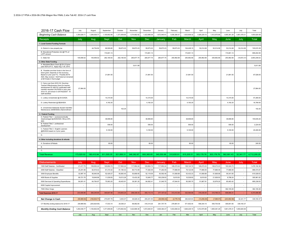| 2016-17 Cash Flow                                                                                                                                                                                                                  | July         | August        | September                | October      | November     | December     | January      | February     | March        | April        | May          | June         | July                     | Total        |
|------------------------------------------------------------------------------------------------------------------------------------------------------------------------------------------------------------------------------------|--------------|---------------|--------------------------|--------------|--------------|--------------|--------------|--------------|--------------|--------------|--------------|--------------|--------------------------|--------------|
| <b>Beginning Cash Balance</b>                                                                                                                                                                                                      | 1,354,626.71 | 1,294,636.77  | 1,100,802.06             | 1,371,659.85 | 1,374,662.92 | 1,422,689.36 | 1,672,940.9  | 1,636,384.47 | 1,633,608.32 | 1,926,229.15 | 1,912,970.86 | 1,905,381.29 | 1,661,478.31             | 1,693,820.08 |
| <b>Receipts</b>                                                                                                                                                                                                                    | July         | Aug           | Sept                     | Oct          | Nov          | Dec          | January      | Feb          | March        | April        | May          | June         | July                     | <b>Total</b> |
| 1. Local Control Funding Formula                                                                                                                                                                                                   |              |               |                          |              |              |              |              |              |              |              |              |              |                          |              |
| A. District In Lieu property tax                                                                                                                                                                                                   |              | 44,754.92     | 89,509.85                | 59,673.23    | 59,673.23    | 59,673.23    | 59,673.23    | 59,673.23    | 104,428.15   | 52,214.08    | 52,214.08    | 52,214.08    | 52,214.08                | 745,915.39   |
| B. Educational Protection Act @17% of<br>LCFF amount                                                                                                                                                                               |              |               | 174,801.13               |              |              | 174,801.13   |              |              | 174,801.13   |              |              | 174,801.13   |                          | 699,204.50   |
| C. State Aid                                                                                                                                                                                                                       | 145,656.02   | 145,656.02    | 262,180.83               | 262,180.83   | 280,877.75   | 280,877.75   | 280,877.75   | 250,962.68   | 250,962.68   | 250,962.68   | 250,962.68   | 250,962.68   | (19, 872.31)             | 2,893,248.02 |
| 2. Other State Funding                                                                                                                                                                                                             |              |               |                          |              |              |              |              |              |              |              |              |              |                          |              |
| A. Mandated Block Grant @ \$14.21/prior<br>year ADA at P-2. Apply Aug 1-30, 2014.                                                                                                                                                  |              |               |                          |              | 5,811.89     |              |              |              |              |              |              |              |                          | 5,811.89     |
| B. Possible one-time funds in the form of<br>block grant. Depends on the economy.<br>Based on prior year P-2. Possibly \$214/<br>ADA. May revision = \$237/ada but remained<br>at \$214/ada in final budget                        |              |               | 21,881.50                |              |              | 21,881.50    |              |              | 21,881.50    |              |              | 21,881.50    |                          | 87,526.00    |
| C. Carry over from 2015-16: One-time<br>Teacher Effectiveness Grant for teacher<br>development \$1,466.53/ certificated staff<br>member reported CALPADS in prior year,<br>2014-15, and shown in DATAQUEST. 19<br>staff identified | 27,864.00    |               |                          |              |              |              |              |              |              |              |              |              |                          | 27,864.00    |
| C. Lottery Unrestricted @ \$123/ADA.                                                                                                                                                                                               |              |               | 14,315.00                |              |              | 14,315.00    |              |              | 14,315.00    |              |              | 14,315.00    |                          | 57,260.00    |
| D. Lottery Restricted @ \$\$29/ADA.                                                                                                                                                                                                |              |               | 4,192.25                 |              |              | 4,192.25     |              |              | 4,192.25     |              |              | 4,192.25     |                          | 16,769.00    |
| E. Unrestricted Statewide Student Identifier<br>Maintenance (SSIM/SSID) 24¢/enrollment                                                                                                                                             |              |               |                          | 102.25       |              |              |              |              |              |              |              |              |                          | 102.25       |
| 3. Federal Funding                                                                                                                                                                                                                 |              |               |                          |              |              |              |              |              |              |              |              |              |                          |              |
| A. Federal Title 1 - socioeconomically<br>disadvantaged @ \$300/ADA. Minus 20%<br><b>SES</b>                                                                                                                                       |              |               | 38,908.80                |              |              | 38,908.80    |              |              | 38,908.80    |              |              | 38,908.80    |                          | 155,635.20   |
| B. Federal Title 2 - professional<br>development                                                                                                                                                                                   |              |               | 556.00                   |              |              | 556.00       |              |              | 556.00       |              |              | 556.00       |                          | 2,224.00     |
| C. Federal Title 3 - English Learners<br>@85/ADA based on 2 prior years.                                                                                                                                                           |              |               | 5,100.00                 |              |              | 5,100.00     |              |              | 5,100.00     |              |              | 5,100.00     |                          | 20,400.00    |
| D.                                                                                                                                                                                                                                 |              |               |                          |              |              |              |              |              |              |              |              |              |                          | $\sim$       |
| 4. Other including donations & refunds                                                                                                                                                                                             |              |               |                          |              |              |              |              |              |              |              |              |              |                          |              |
| A. Donations & Rebats                                                                                                                                                                                                              |              |               | 60.00                    |              |              | 60.00        |              |              | 60.00        |              |              | 60.00        |                          | 240.00       |
| $\overline{B}$                                                                                                                                                                                                                     |              |               |                          |              |              |              |              |              |              |              |              |              |                          |              |
| C.                                                                                                                                                                                                                                 |              |               |                          |              |              |              |              |              |              |              |              |              |                          |              |
| <b>Total Revenue</b>                                                                                                                                                                                                               | 173,520.02   | 190,410.94    | 611,505.35               | 321,956.31   | 346,362.87   | 600,365.65   | 340,550.98   | 310,635.91   | 615,205.51   | 303,176.76   | 303,176.76   | 562,991.43   | 32,341.77                | 4,712,200.25 |
|                                                                                                                                                                                                                                    |              |               |                          |              |              |              |              |              |              |              |              |              |                          |              |
| <b>Disbursements</b>                                                                                                                                                                                                               | July         | Aug           | Sept                     | Oct          | <b>Nov</b>   | Dec          | January      | Feb          | March        | April        | May          | June         | July                     | Total        |
| 1000 Staff Salaries - Certificated                                                                                                                                                                                                 | 21,417.75    | 159,952.24    | 120,804.74               | 117,952.24   | 117,952.24   | 120,804.74   | 117,952.24   | 126,272.24   | 129, 124.74  | 126,272.23   | 126,272.23   | 193,324.73   | i.                       | 1,478,102.36 |
| 2000 Staff Salaries - Classified                                                                                                                                                                                                   | 25,291.88    | 82,918.42     | 81,310.42                | 81,190.42    | 80,713.09    | 77,282.09    | 77,282.09    | 77,866.09    | 79,122.09    | 77,866.09    | 77,866.09    | 77,866.09    | $\epsilon$               | 896,574.87   |
| 3000 Employee Benefits                                                                                                                                                                                                             | 32,997.16    | 56,940.06     | 52,429.27                | 50,893.40    | 50,856.65    | 52,119.09    | 50,592.46    | 51,808.88    | 53,432.23    | 51,808.88    | 51,808.88    | 59,341.65    |                          | 615,028.63   |
| 4000 Books & Supplies                                                                                                                                                                                                              | 69,721.76    | 19,649.96     | 11,039.93                | 19,513.26    | 10,433.26    | 15,845.77    | 100,239.93   | 9,619.93     | 10,539.93    | 8,619.93     | 21,939.93    | 8,798.24     | $\overline{\phantom{a}}$ | 305,961.82   |
| 5000 Services & Operating Expenditures                                                                                                                                                                                             | 84,081.41    | 64,784.97     | 75,063.20                | 49,403.91    | 38,381.20    | 84,062.41    | 31,040.70    | 47,844.91    | 50,365.70    | 51,867.91    | 32,879.20    | 85,463.42    | $\sim$                   | 695,238.93   |
| 6000 Capital Improvement                                                                                                                                                                                                           | $\sim$       | ٠             | $\sim$                   | ٠            | ×.           | $\cdot$      | $\sim$       | $\sim$       | $\sim$       | $\sim$       | $\sim$       | ٠            | ×.                       |              |
| 7000 Other Outgo                                                                                                                                                                                                                   | ٠            | $\cdot$       | $\overline{\phantom{a}}$ | ٠            | $\cdot$      | $\sim$       | $\cdot$      | $\sim$       | $\sim$       | $\cdot$      | ٠            | 382,100.28   | $\sim$                   | 382,100.28   |
| <b>Total Expenses 2016-17</b>                                                                                                                                                                                                      | 233,509.96   | 384,245.65    | 340,647.56               | 318,953.24   | 298,336.43   | 350,114.10   | 377,107.42   | 313,412.06   | 322.584.68   | 316,435.05   | 310,766.33   | 806,894.41   |                          | 4.373.006.88 |
| Net Change in Cash                                                                                                                                                                                                                 | (59,989.94)  | (193,834.71   | 270,857.79               | 3,003.07     | 48,026.43    | 250,251.55   | (36, 556.44) | (2,776.15)   | 292,620.83   | (13, 258.29) | (7,589.57)   | (243,902.98  | 32,341.77                | 339,193.37   |
| CY Monthly ending balance for 2016-17                                                                                                                                                                                              | (59,989.94)  | (253, 824.65) | 17,033.14                | 20,036.21    | 68,062.65    | 318,314.20   | 281,757.76   | 278,981.61   | 571,602.44   | 558,344.15   | 550,754.58   | 306,851.60   | 339, 193.37              |              |
| <b>Monthly Ending Cash Balance</b>                                                                                                                                                                                                 | 1,294,636.77 | 1,100,802.06  | 1,371,659.85             | 1,374,662.92 | 1,422,689.36 | 1,672,940.91 | 1,636,384.47 | 1,633,608.32 | 1,926,229.15 | 1,912,970.86 | 1,905,381.29 | 1,661,478.31 | 1,693,820.08             |              |
|                                                                                                                                                                                                                                    | July         | Aug           | Sept                     | Oct          | Nov          | Dec          | Jan          | Feb          | Mar          | April        | May          | June         | July                     | Total        |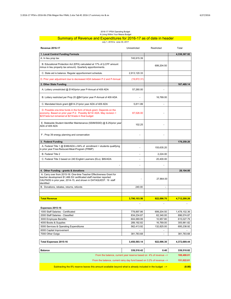### 2016-17 YPSA Operating Budget A Living Within Your Means Budget

#### Summary of Revenue and Expenditures for 2016-17 as of date in header July 1, 2016 to June 30, 2017

| <b>Revenue 2016-17</b>                                                                                                                                                                                                       | Unrestricted             | Restricted | Total                      |
|------------------------------------------------------------------------------------------------------------------------------------------------------------------------------------------------------------------------------|--------------------------|------------|----------------------------|
| 1. Local Control Funding Formula                                                                                                                                                                                             |                          |            | 4,338,367.92               |
| A. In lieu prop tax                                                                                                                                                                                                          | 745,915.39               |            |                            |
| B. Educational Protection Act (EPA) calculated at 17% of (LCFF amount<br>minus in lieu property tax amount). Quarterly apportionments.                                                                                       |                          | 699,204.50 |                            |
| C. State aid is balance. Regular apportionment schedule.                                                                                                                                                                     | 2,913,120.33             |            |                            |
| D. Prior year adjustment due to decreased ADA between P-2 and P-Annual                                                                                                                                                       | (19, 872.31)             |            |                            |
| 2. Other State Funding                                                                                                                                                                                                       |                          |            | 167,469.14                 |
| A. Lottery unrestricted @ \$140/prior year P-Annual of 409 ADA                                                                                                                                                               | 57,260.00                |            |                            |
| B. Lottery restricted per Prop 20 @\$41/prior year P-Annual of 409 ADA                                                                                                                                                       |                          | 16,769.00  |                            |
| C. Mandated block grant @\$14.21/prior year ADA of 409 ADA                                                                                                                                                                   | 5,811.89                 |            |                            |
| D. Possible one-time funds in the form of block grant. Depends on the<br>economy. Based on prior year P-2. Possibly \$214/ ADA. May revision =<br>\$237/ada but remained at \$214/ada in final budget                        | 87,526.00                |            |                            |
| E. Statewide Student Identifier Maintenance (SSIM/SSID) @ \$.25/prior year<br>ADA of 409 ADA                                                                                                                                 | 102.25                   |            |                            |
| F. Prop 39 energy planning and conservation                                                                                                                                                                                  |                          |            |                            |
| 3. Federal Funding                                                                                                                                                                                                           |                          |            | 178,259.20                 |
| A. Federal Title 1 $@$ \$386/ADA x 84% of enrollment = students qualifying<br>in prior year Free-Reduced-Meal-Program (FRMP)                                                                                                 |                          | 155,635.20 |                            |
| B. Federal Title 2                                                                                                                                                                                                           |                          | 2,224.00   |                            |
| C. Federal Title 3 based on 240 English Learners (ELs). \$85/ADA                                                                                                                                                             |                          | 20,400.00  |                            |
|                                                                                                                                                                                                                              |                          |            |                            |
| 4. Other Funding - grants & donations                                                                                                                                                                                        |                          |            | 28,104.00                  |
| A. Carry over from 2015-16: One-time Teacher Effectiveness Grant for<br>teacher development \$1,466.53/ certificated staff member reported<br>CALPADS in prior year, 2014-15, and shown in DATAQUEST. 19 staff<br>identified |                          | 27,864.00  |                            |
| B. Donations, rebates, returns, refunds                                                                                                                                                                                      | 240.00                   |            |                            |
|                                                                                                                                                                                                                              |                          |            |                            |
|                                                                                                                                                                                                                              |                          |            |                            |
| <b>Total Revenue</b>                                                                                                                                                                                                         | 3,790,103.56             | 922,096.70 | 4,712,200.26               |
|                                                                                                                                                                                                                              |                          |            |                            |
| Expenses 2015-16                                                                                                                                                                                                             |                          | 699,204.50 |                            |
| 1000 Staff Salaries - Certificated<br>2000 Staff Salaries - Classified                                                                                                                                                       | 778,897.86<br>834,234.87 | 62,340.00  | 1,478,102.36<br>896,574.87 |
| 3000 Employee Benefits                                                                                                                                                                                                       | 604,069.99               | 10,957.80  | 615,027.79                 |
| 4000 Books & Supplies                                                                                                                                                                                                        | 289,192.82               | 16,769.00  | 305,961.82                 |
| 5000 Services & Operating Expenditures                                                                                                                                                                                       | 562,413.92               | 132,825.00 | 695,238.92                 |
| 6000 Capital Improvement                                                                                                                                                                                                     |                          |            |                            |
| 7000 Other Outgo                                                                                                                                                                                                             | 381,783.68               |            | 381,783.68                 |
|                                                                                                                                                                                                                              |                          |            |                            |
| <b>Total Expenses 2015-16</b>                                                                                                                                                                                                | 3,450,593.14             | 922,096.30 | 4,372,689.44               |
| Balance                                                                                                                                                                                                                      | 339,510.42               | 0.40       | 339,510.82                 |
| From the balance, current year reserve based on 4% of revenue -->                                                                                                                                                            |                          |            | 188,488.01                 |
| From the balance, current rainy day fund based on 3.2% of revenue -->                                                                                                                                                        |                          |            | 151,022.81                 |
| Subtracting the 8% reserve leaves this amount available beyond what is already included in the budget -->                                                                                                                    |                          |            | (0.00)                     |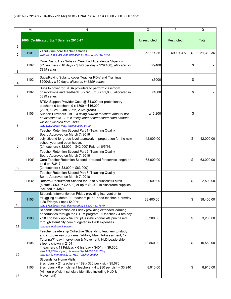|                | M     | N                                                                                                                                                                                                                                                                                                                                                                                   | O<br>P       |            | Q               |
|----------------|-------|-------------------------------------------------------------------------------------------------------------------------------------------------------------------------------------------------------------------------------------------------------------------------------------------------------------------------------------------------------------------------------------|--------------|------------|-----------------|
| 1              |       | 1000 Certificated Staff Salaries 2016-17                                                                                                                                                                                                                                                                                                                                            | Unrestricted | Restricted | <b>Total</b>    |
| $\overline{2}$ | 1101  | 21 full-time core teacher salaries.<br>Was \$994,464 last year increased by \$56,855.36 (+5.72%)                                                                                                                                                                                                                                                                                    | 352,114.86   | 699,204.50 | \$1,051,319.36  |
| 3              | 1102  | Core Day to Day Subs or Year End Attendence Stipends<br>(21 teachers x 10 days x $$140$ per day = \$29,400), allocated in<br>5899 series.                                                                                                                                                                                                                                           | x29400       |            | \$              |
| 4              | 1102  | Subs/Roving Subs to cover Teacher PD's' and Trainings<br>\$200/day x 30 days, allocated in 5899 series.                                                                                                                                                                                                                                                                             | x6000        |            | \$              |
| 5              | 1102  | Subs to cover for BTSA providers to perform classroom<br>observations and feedback. $3 \times $200 \times 3 = $1,800$ , allocated in<br>5899 series.                                                                                                                                                                                                                                | x1800        |            | \$              |
| 6              | 1106  | BTSA Support Provider Cost @ \$1,800 per probationary<br>teacher x 9 teachers. $9 \times 1800 = $16,200$ .<br>(2-1st, 1-3rd, 2-4th, 2-5th, 2-6th grade)<br>Support Providers TBD. If using current teachers amount will<br>be allocated to 1106 if using independent contractors amount<br>will be allocated from 5899.<br>Was \$16,200 last year, increased by \$0.00              | x16,200      |            | \$              |
| 7              | 1106* | Teacher Retention Stipend Part 1 - Teaching Quality<br>Board Approved on March 7, 2016<br>July stipend for grade level teamwork in preparation for the new<br>school year and open house.<br>(21 teachers x \$2,000 = \$42,000) Paid on 8/5/16.                                                                                                                                     | 42,000.00    |            | \$<br>42,000.00 |
| 8              | 1106* | Teacher Retention Stipend Part 2 - Teaching Quality<br>Board Approved on March 7, 2016<br>Core Teacher Retention Stipend prorated for service length or<br>paid on 7/3/17.<br>$(21$ teachers x \$3,000 = \$63,000)                                                                                                                                                                  | 63,000.00    |            | \$<br>63,000.00 |
| 9              | 1106* | Teacher Retention Stipend Part 3 - Teaching Quality<br>Board Approved on March 7, 2016<br>Referral/Recruitment Stipend for up to 5 successful hires<br>$(5 \text{ staff} \times $500 = $2,500)$ or up to \$1,000 in classroom supplies<br>included in 4350.                                                                                                                         | 2,500.00     |            | \$<br>2,500.00  |
| 10             | 1106  | Stipends Intervention on Friday providing intervention to<br>struggling students. 11 teachers plus 1 head teacher. 4 hrs/day<br>x 20 Fridays x appx \$40/hr.<br>Was \$43,520 last year decreased by \$5,120 (-11.76%)                                                                                                                                                               | 38,400.00    |            | \$<br>38,400.00 |
| 11             | 1106  | Stipends Intervention on Friday providing extended learning<br>opportunties through the STEM program. 1 teacher x 4 hrs/day<br>x 20 Fridays x appx \$40/hr. plus instructional kits purchased<br>through stemfinity.com budgeted in 4200 expenses.<br>Included in above line item.                                                                                                  | 3,200.00     |            | \$<br>3,200.00  |
| 12             | 1106  | Teacher Leadership Collective Stipends to teachers to study<br>and improve key programs: 2-Moby Max, 1-Assessment, 1-<br>Tutoring/Friday Intervention & Movement. HLD Leadership<br>stipend shown in 2101.<br>4 teachers x 11 Fridays x 6 hrs/day x $$40/hr = $9,600$ .<br>Was \$19,200 last year, decreased by \$6,000 (-31.25%)<br>Includes \$2,640 from 2101, HLD Teacher Leader | 10,560.00    |            | \$<br>10,560.00 |
| 13             | 1106  | <b>Stipends for Home Visits</b><br>9 scholars x 21 teachers = $189 \times $30$ per visit = \$5,670<br>9 scholars x 6 enrichment teachers = $4 \times $30$ per visit = \$3,240<br>(All non-proficient scholars identified including HLD &<br>Movement)                                                                                                                               | 8,910.00     |            | \$<br>8,910.00  |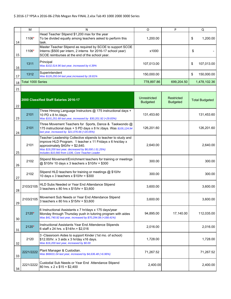|    | M                 | N                                                                                                                                                                                                                                                                              | O                               | P                             | Q                     |
|----|-------------------|--------------------------------------------------------------------------------------------------------------------------------------------------------------------------------------------------------------------------------------------------------------------------------|---------------------------------|-------------------------------|-----------------------|
| 14 | 1106*             | Head Teacher Stipend \$1,200 max for the year<br>To be divided equally among teachers asked to perform this<br>task.                                                                                                                                                           | 1,200.00                        |                               | \$<br>1,200.00        |
| 15 | 1106*             | Master Teacher Stipend as required by SCOE to support SCOE<br>Interns (\$500 per intern, 2 interns for 2016-17 school year)<br>SCOE reimburses at the end of the school year.                                                                                                  | x1000                           |                               | \$                    |
| 16 | 1311              | Principal<br>Was \$102,514.96 last year, increased by 4.39%                                                                                                                                                                                                                    | 107,013.00                      |                               | \$<br>107,013.00      |
| 17 | 1312              | Superintendent<br>Was \$126,250.04 last year, increased by 18.81%                                                                                                                                                                                                              | 150,000.00                      |                               | \$<br>150,000.00      |
| 18 | Total 1000 Series |                                                                                                                                                                                                                                                                                | 778,897.86                      | 699,204.50                    | 1,478,102.36          |
| 21 |                   |                                                                                                                                                                                                                                                                                |                                 |                               |                       |
| 22 |                   | 2000 Classified Staff Salaries 2016-17                                                                                                                                                                                                                                         | Unrestricted<br><b>Budgeted</b> | Restricted<br><b>Budgeted</b> | <b>Total Budgeted</b> |
| 23 | 2101              | Three Hmong Language Instructors @ 175 instructional days +<br>10 PD x 8 hr./days.<br>Was \$101,251.68 last year, increased by \$30,201.92 (+29.83%)                                                                                                                           | 131,453.60                      |                               | 131,453.60            |
| 24 | 2101              | Three Movement Teachers for Sports, Dance & Taekwondo @<br>175 instructional days + 5 PD days x 8 hr./days. Was \$105,124.94<br>last year, increased by \$21,076.66 (+20.05%)                                                                                                  | 126,201.60                      |                               | 126,201.60            |
| 25 | 2101              | Teacher Leadership Collective stipends to teacher to study and<br>improve HLD Program. 1 teacher x 11 Fridays x 6 hrs/day x<br>approximately $$40/hr = $2,640$ .<br>Was \$19,200 last year, decreased by \$6,000 (-31.25%)<br>Includes \$10,560 from 1106, Core Teacher Leader | 2,640.00                        |                               | 2,640.00              |
| 26 | 2102              | Stipend Movement/Enrichment teachers for training or meetings<br>@ \$10/hr 10 days x 3 teachers x \$10/hr = \$300                                                                                                                                                              | 300.00                          |                               | 300.00                |
| 27 | 2102              | Stipend HLD teachers for training or meetings @ \$10/hr<br>10 days x 3 teachers x $$10/hr = $300$                                                                                                                                                                              | 300.00                          |                               | 300.00                |
| 28 | 2103/2105         | HLD Subs Needed or Year End Attendance Stipend<br>3 teachers $x 80$ hrs $x $15/hr = $3,600$                                                                                                                                                                                    | 3,600.00                        |                               | 3,600.00              |
| 29 | 2103/2105         | Movement Sub Needs or Year End Attendance Stipend<br>3 teachers x 80 hrs x $$15/hr = $3,600$                                                                                                                                                                                   | 3,600.00                        |                               | 3,600.00              |
| 30 | 2120*             | 6 Instructional Assistants x 7 hr/days x 175 days/year<br>Monday through Thursday push in tutoring program with aides<br>Was \$41,740.92 last year, increased by \$70,294.08 (+168.41%)                                                                                        | 94,895.00                       | 17,140.00                     | 112,035.00            |
| 31 | 2120*             | Instructional Assistants Year End Attendence Stipends<br>6 staff x 24 hrs. x \$14/hr. = \$2,016                                                                                                                                                                                | 2,016.00                        |                               | 2,016.00              |
| 32 | 2120              | 3-Classroom Aides to support Kinder (1st mo. of school)<br>\$12.00/hr. x 3 aids x 3 hr/day x16 days.<br>Was \$16,200 last year, increased by \$0.00                                                                                                                            | 1,728.00                        |                               | 1,728.00              |
| 33 | 2221/2222         | Plant Manager & Custodian.<br>Was \$66631.04 last year, increased by \$4,636.48 (+6.96%)                                                                                                                                                                                       | 71,267.52                       |                               | 71,267.52             |
| 34 | 2221/2222         | Custodial Sub Needs or Year End Attendance Stipend<br>80 hrs. x 2 x \$15 = \$2,400                                                                                                                                                                                             | 2,400.00                        |                               | 2,400.00              |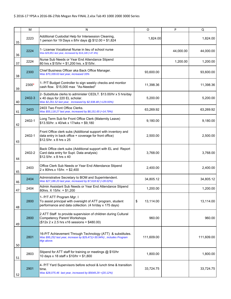|    | м                                                                                                                                                                         | N                                                                                                                                                                 | O               | P          | Q         |
|----|---------------------------------------------------------------------------------------------------------------------------------------------------------------------------|-------------------------------------------------------------------------------------------------------------------------------------------------------------------|-----------------|------------|-----------|
| 35 | 2223                                                                                                                                                                      | Additional Custodial Help for Intersession Cleaning,<br>1 person for 19 Days x 8/hr days @ \$12.00 = \$1,824                                                      | 1,824.00        |            |           |
| 36 | 2224                                                                                                                                                                      | 1- License Vocational Nurse in lieu of school nurse<br>Was \$29,851 last year, increased by \$14,149 (+47.4%)                                                     |                 | 44,000.00  | 44,000.00 |
| 37 | 2224                                                                                                                                                                      | Nurse Sub Needs or Year End Attendance Stipend<br>80 hrs x \$15/hr = \$1,200 hrs. x \$15/hr.                                                                      |                 | 1,200.00   | 1,200.00  |
| 38 | 2300                                                                                                                                                                      | Chief Business Officer aka Back Office Manager.<br>Was \$70,339.63 last year, increased 33%                                                                       | 93,600.00       |            | 93,600.00 |
| 39 | 2300*                                                                                                                                                                     | 1- P/T Budget Controller to sign weekly checks and montior<br>cash flow. \$15,000 max "As-Needed"                                                                 | 11,398.36       |            | 11,398.36 |
| 40 | 2402-3                                                                                                                                                                    | 2- Substitute clerks to administer CEDLT. \$13.00/hr x 5 hrs/day<br>x 40 days for 220 EL scholar.<br>Was \$2,261.52 last year, increased by \$2,938.48 (+129.93%) | 5,200.00        |            | 5,200.00  |
| 41 | 2403                                                                                                                                                                      | 2403 Two Front Office Clerks.<br>Was \$55,118.27 last year, increased by \$8,151.65 (+14.79%)                                                                     | 63,269.92       |            | 63,269.92 |
| 42 | 2402-1                                                                                                                                                                    | Long Term Sub for Front Office Clerk (Maternity Leave)<br>$$13.50/hr. x 40/wk x 17/wks = $9,180$                                                                  | 9,180.00        |            | 9,180.00  |
| 43 | 2402-1                                                                                                                                                                    | Front Office clerk subs (Additional support with inventory and<br>data entry in back office + coverage for front office)<br>2,500.00<br>\$12.5/hr. x 8 hrs x 25   |                 |            | 2,500.00  |
| 44 | 2402-2                                                                                                                                                                    | Back Office clerk subs (Additional support with EL and Report<br>Card data entry for Supt. Data analysis)<br>\$12.5/hr. x 8 hrs x 40                              | 3,768.00        |            | 3,768.00  |
| 45 | 2403                                                                                                                                                                      | Office Clerk Sub Needs or Year End Attendance Stipend<br>$2 \times 80$ hrs. $x 15$ /hr. = \$2,400                                                                 | 2,400.00        |            | 2,400.00  |
| 46 | 2404                                                                                                                                                                      | Administrative Secretary to BOM and Superintendent.<br>Was \$27,186.20 last year, increased by \$7,618.92 (+28.02%)                                               | 34,805.12       |            | 34,805.12 |
| 47 | 2404                                                                                                                                                                      | Admin Assistant Sub Needs or Year End Attendance Stipend<br>80hrs. X 15/hr. = \$1,200                                                                             | 1,200.00        |            | 1,200.00  |
| 48 | 2800                                                                                                                                                                      | 1- P/T ATT Program Mgr. I<br>To assist principal with oversight of ATT program, student<br>performance and data collection. (4 hr/day x 175 days)                 | 13,114.00<br>\$ |            | 13,114.00 |
| 49 | 2800                                                                                                                                                                      | 2 ATT Staff to provide supervision of children during Cultural<br><b>Competency Parent Workshops</b><br>$($12x 2 x 2.5 hrs x16 sessions = $480.00)$               | 960.00          |            | 960.00    |
| 50 | 16-P/T Achievement Through Technology (ATT) & substitutes.<br>2801<br>111,609.00<br>Was \$95,252 last year, increase by \$29,471(+30.94%), includes Program<br>Mgr.above. |                                                                                                                                                                   |                 | 111,609.00 |           |
| 51 | 2803                                                                                                                                                                      | Stipend for ATT staff for training or meetings @ \$10/hr<br>10 days x 18 staff x \$10/hr = \$1,800                                                                | 1,800.00        |            | 1,800.00  |
| 52 | 2901                                                                                                                                                                      | 4- P/T Yard Supervisors before school & lunch time & transition<br>time.<br>Was \$28,075.46 last year, increased by \$5649.29 +(20.12%)                           | 33,724.75       |            | 33,724.75 |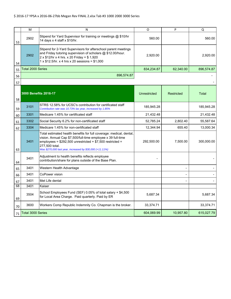|                                                                                                                                                             | M<br>N                                                                                                                                                                                                                                        |                                                                                                                                 | O            | P          | Q            |
|-------------------------------------------------------------------------------------------------------------------------------------------------------------|-----------------------------------------------------------------------------------------------------------------------------------------------------------------------------------------------------------------------------------------------|---------------------------------------------------------------------------------------------------------------------------------|--------------|------------|--------------|
| 53                                                                                                                                                          | Stipend for Yard Supervisor for training or meetings @ \$10/hr<br>2902<br>14 days x 4 staff x \$10/hr.                                                                                                                                        |                                                                                                                                 | 560.00       |            | 560.00       |
| 54                                                                                                                                                          | Stipend for 2-Yard Supervisors for afterschool parent meetings<br>and Friday tutoring supervision of scholars @ \$12.00/hour.<br>2902<br>2 x \$12/hr x 4 hrs. x 20 Friday = \$ 1,920<br>$1 \times $12.5$ /hr. x 4 hrs x 20 sessions = \$1,000 |                                                                                                                                 | 2,920.00     |            | 2,920.00     |
| 55                                                                                                                                                          | <b>Total 2000 Series</b>                                                                                                                                                                                                                      |                                                                                                                                 | 834,234.87   | 62,340.00  | 896,574.87   |
| 56                                                                                                                                                          |                                                                                                                                                                                                                                               | 896,574.87                                                                                                                      |              |            |              |
| 57                                                                                                                                                          |                                                                                                                                                                                                                                               |                                                                                                                                 |              |            |              |
| 58                                                                                                                                                          |                                                                                                                                                                                                                                               | 3000 Benefits 2016-17                                                                                                           | Unrestricted | Restricted | <b>Total</b> |
| 59                                                                                                                                                          | 3101                                                                                                                                                                                                                                          | STRS 12.58% for UCSC's contribution for certificated staff<br>Contribution rate was 10.73% las year, increased by 1.85%         | 185,945.28   |            | 185,945.28   |
| 60                                                                                                                                                          | 3301                                                                                                                                                                                                                                          | Medicare 1.45% for certificated staff                                                                                           | 21,432.48    |            | 21,432.48    |
| 3302<br>Social Security 6.2% for non-certificated staff<br>61                                                                                               |                                                                                                                                                                                                                                               | 52,785.24                                                                                                                       | 2,802.40     | 55,587.64  |              |
| 62                                                                                                                                                          | 3304                                                                                                                                                                                                                                          | Medicare 1.45% for non-certificated staff                                                                                       | 12,344.94    | 655.40     | 13,000.34    |
| vision. Annual Cap \$7,500/full-time employee x 39 full-time<br>3401<br>employees = $$292,500$ unrestricted + $$7,500$ restricted =<br>277,500 total.<br>63 |                                                                                                                                                                                                                                               | Total estimated health benefits for full coverage: medical, dental,<br>Was \$270,000 last year, increased by \$30,000 (+11.11%) | 292,500.00   | 7,500.00   | 300,000.00   |
| 64                                                                                                                                                          | 3401                                                                                                                                                                                                                                          | Adjustment to health benefits reflects employee<br>contribution/share for plans outside of the Base Plan.                       |              |            |              |
| 65                                                                                                                                                          | 3401                                                                                                                                                                                                                                          | Western Health Advantage                                                                                                        |              |            |              |
| 66                                                                                                                                                          | 3401                                                                                                                                                                                                                                          | CoPower vision                                                                                                                  |              |            |              |
| 67                                                                                                                                                          | 3401                                                                                                                                                                                                                                          | Met Life dental                                                                                                                 |              |            |              |
| 68                                                                                                                                                          | 3401                                                                                                                                                                                                                                          | Kaiser                                                                                                                          |              |            |              |
| 69                                                                                                                                                          | 3504                                                                                                                                                                                                                                          | School Employees Fund (SEF) 0.05% of total salary + \$4,500<br>for Local Area Charge. Paid quarterly. Paid by ER                | 5,687.34     |            | 5,687.34     |
| 70                                                                                                                                                          | 3600                                                                                                                                                                                                                                          | Workers Comp Republic Indemnity Co. Chapman is the broker.                                                                      | 33,374.71    |            | 33,374.71    |
| 71                                                                                                                                                          | Total 3000 Series                                                                                                                                                                                                                             |                                                                                                                                 | 604,069.99   | 10,957.80  | 615,027.79   |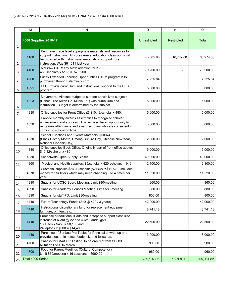|        | N<br>M                                                                                                                                                                                                                       |                                                                                                                                                                                                                                   | $\circ$             | P          | $\mathsf Q$  |
|--------|------------------------------------------------------------------------------------------------------------------------------------------------------------------------------------------------------------------------------|-----------------------------------------------------------------------------------------------------------------------------------------------------------------------------------------------------------------------------------|---------------------|------------|--------------|
| 1      |                                                                                                                                                                                                                              | 4000 Supplies 2016-17                                                                                                                                                                                                             | <b>Unrestricted</b> | Restricted | <b>Total</b> |
| 2      | 4100                                                                                                                                                                                                                         | Purchase grade level appropriate materials and resources to<br>support instruction. All core general education classrooms will<br>be provided with instructional materials to support core<br>instruction. Was \$61,011 last year | 43,505.80           | 16,769.00  | 60,274.80    |
| 3      | 4100                                                                                                                                                                                                                         | McGraw Hill Ready Math adoption for K-6<br>480 scholars x \$165 = \$79,200                                                                                                                                                        | 79,200.00           |            | 79,200.00    |
| 4      | 4200                                                                                                                                                                                                                         | Friday Extended Learning Opportunties STEM program Kits<br>purchased through stemfinity.com.                                                                                                                                      | 7,225.84            |            | 7,225.84     |
| 5      | 4321                                                                                                                                                                                                                         | HLD Provide curriculum and instructional support to the HLD<br>program.                                                                                                                                                           | 5,000.00            |            | 5,000.00     |
| 6      | 4323                                                                                                                                                                                                                         | Movement. Allocate budget to support specialized subjects<br>(Dance, Tae Kwon Do, Music, PE) with curriculum and<br>5,000.00<br>instruction. Budget is determined by the subject.                                                 |                     |            | 5,000.00     |
| 7      | 4330                                                                                                                                                                                                                         | Office supplies for Front Office @ \$10.42/scholar x 480.                                                                                                                                                                         | 5,000.00            |            | 5,000.00     |
| 8      | Provide monthly awards assemblies to recognize scholar<br>achievement and success. This will also be an opportunity to<br>4330<br>recognize attendance and award scholars who are consistent in<br>coming to school on time. |                                                                                                                                                                                                                                   | 3,000.00            |            | 3,000.00     |
| 9      | School Functions and Events Materials, \$500x4<br>4330<br>(Black History Month, Hmong Culture Day, Chinese New Year,<br>National Hispanic Day)                                                                               |                                                                                                                                                                                                                                   | 2,000.00            |            | 2,000.00     |
| 10     | 4340                                                                                                                                                                                                                         | Office supplies Back Office. Originally part of front office above.<br>\$10.42/scholar x 480                                                                                                                                      | 5,000.00            |            | 5,000.00     |
| 11     | 4350                                                                                                                                                                                                                         | Schoolwide Open Supply Closet                                                                                                                                                                                                     | 40,000.00           |            | 40,000.00    |
| 12     | 4360                                                                                                                                                                                                                         | Medical and Health supplies. \$5/scholar x 420 scholars in K-6.                                                                                                                                                                   | 2,100.00            |            | 2,100.00     |
| 13     | 4370                                                                                                                                                                                                                         | Custodial supplies \$24.00/scholar (\$24x480=\$11,520) Includes<br>money for air filters which may need changing 3 to 4 times per<br>vear.                                                                                        | 11,520.00           |            | 11,520.00    |
| 14     | 4390                                                                                                                                                                                                                         | Snacks for UCSC Board Meeting. Limit \$80/meeting                                                                                                                                                                                 | 860.00              |            | 860.00       |
| 15     | 4390                                                                                                                                                                                                                         | Snacks for Academy Council Meeting. Limit \$80/meeting                                                                                                                                                                            | 880.00              |            | 880.00       |
| $16\,$ | 4390                                                                                                                                                                                                                         | Snacks for staff PD. Limit \$80/meeting                                                                                                                                                                                           | 800.00              |            | 800.00       |
| 17     | 4410                                                                                                                                                                                                                         | Future Technology Funds (210 @ 420 / 3 years)                                                                                                                                                                                     | 42,000.00           |            | 42,000.00    |
| 18     | 4410                                                                                                                                                                                                                         | Instructional discretionary fund for replacement equipment,<br>furniture, printers, etc.                                                                                                                                          | 8,741.18            |            | 8,741.18     |
| 19     | 4410                                                                                                                                                                                                                         | Purcahse of additional iPads and laptops to support class size<br>increase of K-3rd @ 22 and 4-6th Grade @24.<br>18 iPads x \$450 = \$8,100 and<br>24 laptopx x \$600 = \$14,400                                                  | 22,500.00           |            | 22,500.00    |
| 20     | 4410                                                                                                                                                                                                                         | Purcahse of Surface Pro Tablet for Principal to write up and<br>provide electronic notes, feedback, and follow-up.                                                                                                                | 3,000.00            |            | 3,000.00     |
| 21     | 4700                                                                                                                                                                                                                         | Snacks for CAASPP Testing, to be ordered from SCUSD<br>Nutrition Svcs. In March.                                                                                                                                                  | 900.00              |            | 900.00       |
| 22     | 4700                                                                                                                                                                                                                         | Food for Parent Meetings (Cultural Competency).<br>Limit $$60/m$ eeting x 16 sessions = $$960.00$                                                                                                                                 | 960.00              |            | 960.00       |
| 23     | Total 4000 Series                                                                                                                                                                                                            |                                                                                                                                                                                                                                   | 289,192.82          | 16,769.00  | 305,961.82   |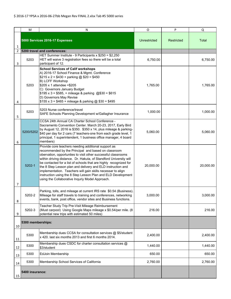|    | м                              | N                                                                                                                                                                                                                                                                                                                                                                                                                                                                                                                                                                      | $\circ$      | P                 | Q         |
|----|--------------------------------|------------------------------------------------------------------------------------------------------------------------------------------------------------------------------------------------------------------------------------------------------------------------------------------------------------------------------------------------------------------------------------------------------------------------------------------------------------------------------------------------------------------------------------------------------------------------|--------------|-------------------|-----------|
| 1  | 5000 Services 2016-17 Expenses |                                                                                                                                                                                                                                                                                                                                                                                                                                                                                                                                                                        | Unrestricted | <b>Restricted</b> | Total     |
| 2  |                                | 5200 travel and conferences:                                                                                                                                                                                                                                                                                                                                                                                                                                                                                                                                           |              |                   |           |
| 3  | 5203                           | HET Summer Institute - 9 Participants x \$250 = \$2,250<br>HET will waive 3 registration fees so there will be a total<br>participant of 12.                                                                                                                                                                                                                                                                                                                                                                                                                           | 6,750.00     |                   | 6,750.00  |
| 4  | 5203                           | <b>School Services of Calif workshops</b><br>A) 2016-17 School Finance & Mgmt. Conference<br>$$215 \times 2 = $430 + \text{parking}$ @ \$20 = \$450<br>B) LCFF Workshop<br>\$205 x 1 attendee = \$205<br>C) Governors January Budget<br>$$195 \times 3 = $585, +$ mileage & parking @\$30 = \$615<br>D) Governors May Revise<br>$$155 \times 3 = $465 +$ mileage & parking @ \$30 = \$495                                                                                                                                                                              | 1,765.00     |                   | 1,765.00  |
| 5  | 5203                           | 5203 Nurse conference/travel<br>SAFE Schools Planning Development w/Gallagher Insurance                                                                                                                                                                                                                                                                                                                                                                                                                                                                                | 1,000.00     |                   | 1,000.00  |
| 6  | 5200/5202                      | CCSA 24th Annual CA Charter School Conference -<br>Sacramento Convention Center. March 20-23, 2017, Early Bird<br>by August 12, 2016 is \$350. \$350 x 14, plus mileage & parking-<br>\$40 per day for 2 cars (7 teachers-one from each grade level, 1<br>principal, 1 superintendent, 1 business office manager, 4 board<br>members)                                                                                                                                                                                                                                  | 5,060.00     |                   | 5,060.00  |
| 7  | 5202-1                         | Provide core teachers needing additional support as<br>recommended by the Principal and based on classroom<br>obervation, opportunties to visit other successful classrooms<br>within driving distance. Dr. Hakuta, of Standford Universtiy will<br>be contacted for a list of schools that are highly recognized for<br>the 8 Step Lesson plan and delivery and ELD instruction and<br>implementation. Teachers will gain skills necessar to align<br>instruction using the 8 Step Lesson Plan and ELD Development<br>using the Collaborative Inquriy Model Approach. | 20,000.00    |                   | 20,000.00 |
| 8  | 5202-2                         | Parking, tolls, and mileage at current IRS rate \$0.54 (Business).<br>Mileage for staff travels to training and conferences, networking<br>events, bank, post office, vendor sites and Business functions.                                                                                                                                                                                                                                                                                                                                                             | 3,000.00     |                   | 3,000.00  |
| 9  | 5202-3                         | Teacher Study Trip Pre-Visit Mileage Reimbursement<br>(Must carpool) Using Google Maps mileage x \$0.54/per mile. (8<br>potential new trips with estimated 50 miles)                                                                                                                                                                                                                                                                                                                                                                                                   | 216.00       |                   | 216.00    |
| 10 | 5300 memberships:              |                                                                                                                                                                                                                                                                                                                                                                                                                                                                                                                                                                        |              |                   |           |
| 11 | 5300                           | Membership dues CCSA for consultation services @ \$5/student<br>x 420. last six months 2013 and first 6 months 2014.                                                                                                                                                                                                                                                                                                                                                                                                                                                   | 2,400.00     |                   | 2,400.00  |
| 12 | 5300                           | Membership dues CSDC for charter consultation services @<br>\$3/student                                                                                                                                                                                                                                                                                                                                                                                                                                                                                                | 1,440.00     |                   | 1,440.00  |
| 13 | 5300                           | EdJoin Membership                                                                                                                                                                                                                                                                                                                                                                                                                                                                                                                                                      | 650.00       |                   | 650.00    |
| 14 | 5300                           | Membership School Services of California                                                                                                                                                                                                                                                                                                                                                                                                                                                                                                                               | 2,760.00     |                   | 2,760.00  |
| 15 | 5400 insurance:                |                                                                                                                                                                                                                                                                                                                                                                                                                                                                                                                                                                        |              |                   |           |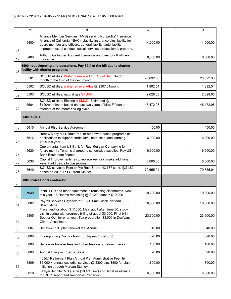|    | M                                                                                                                                                                                                                                                                                   | $\mathsf{N}$                                                                                                                                                                                                                             | $\circ$   | P | Q         |
|----|-------------------------------------------------------------------------------------------------------------------------------------------------------------------------------------------------------------------------------------------------------------------------------------|------------------------------------------------------------------------------------------------------------------------------------------------------------------------------------------------------------------------------------------|-----------|---|-----------|
| 16 | Alliance Member Services (AMS) serving Nonprofits' Insurance<br>Alliance of California (NIAC). Liability Insurance plus liability for<br>5400<br>board member and officers; general liability, auto liability,<br>improper sexual conduct, social services, professional; property. |                                                                                                                                                                                                                                          | 14,000.00 |   | 14,000.00 |
| 17 | 5400                                                                                                                                                                                                                                                                                | Arthur J Gallagher Accident Insurance and directors & officers<br>insurance                                                                                                                                                              | 6,000.00  |   | 6,000.00  |
| 18 |                                                                                                                                                                                                                                                                                     | 5500 housekeeping and operations. Pay 89% of the bill due to sharing<br>facility with district programs:                                                                                                                                 |           |   |           |
| 19 | 5501                                                                                                                                                                                                                                                                                | SCUSD utilities: Water & sewage thru City of Sac. Third of<br>month to the third of the next month                                                                                                                                       | 26,692.30 |   | 26,692.30 |
| 20 | 5502                                                                                                                                                                                                                                                                                | SCUSD utilities: waste removal Atlas @ \$307.01/month                                                                                                                                                                                    | 1,892.54  |   | 1,892.54  |
| 21 | 5503                                                                                                                                                                                                                                                                                | SCUSD utilities: natural gas SPURR.                                                                                                                                                                                                      | 2,628.65  |   | 2,628.65  |
| 22 | 5504                                                                                                                                                                                                                                                                                | SCUSD utilities: Electricity SMUD. Estimated @<br>\$120/enrollment based on past two years of bills. Fifteen to<br>fifteenth of the month=billing cycle                                                                                  | 48,472.98 |   | 48,472.98 |
| 23 | 5600 rentals:                                                                                                                                                                                                                                                                       |                                                                                                                                                                                                                                          |           |   |           |
| 24 | 5610                                                                                                                                                                                                                                                                                | Annual Riso Service Agreement                                                                                                                                                                                                            | 450.00    |   | 450.00    |
| 25 | 5616                                                                                                                                                                                                                                                                                | Renew Moby Max, BrainPop, or other web-based programs or<br>applications to support curriculum, instruction, and learning.<br>\$699 last year.                                                                                           | 6,000.00  |   | 6,000.00  |
| 26 | Copier rental from US Bank for Ray Morgan Co. paying for<br>5620<br>future month. Toner is charged to schoolwide supplies. Pay US<br><b>Bank Equipment finance</b>                                                                                                                  |                                                                                                                                                                                                                                          | 6,900.00  |   | 6,900.00  |
| 27 | 5630                                                                                                                                                                                                                                                                                | Capital Improvements (e.g., replace key lock, make additional<br>keys + add blinds to classrooms)                                                                                                                                        | 5,000.00  |   | 5,000.00  |
| 28 | 5640                                                                                                                                                                                                                                                                                | SCUSD services: Rent or Pro Rata Share. 43,767 sq. ft. @\$1.82<br>based on 2016-17 LOI from District.                                                                                                                                    | 79,655.94 |   | 79,655.94 |
| 29 |                                                                                                                                                                                                                                                                                     | 5800 professional contracts:                                                                                                                                                                                                             |           |   |           |
| 30 | 5630                                                                                                                                                                                                                                                                                | Install LCD and other equipment in remaining classrooms. New<br>this year. 16 Rooms remaining $@$ \$1,200 each = \$19,200                                                                                                                | 19,200.00 |   | 19,200.00 |
| 31 | 5802                                                                                                                                                                                                                                                                                | Payroll Services Paychex for EIB + Time Clock Platform<br>Strattustime                                                                                                                                                                   | 16,500.00 |   | 16,500.00 |
| 32 | 5805                                                                                                                                                                                                                                                                                | Fiscal auditor about \$17,600. Main audit after June 30. study<br>visit in spring with progress billing of about \$3,000. Final bill in<br>Sept or Oct. for prior year. Tax preparation \$3,000 in Dec/Jan.<br><b>Gilbert Associates</b> | 23,600.00 |   | 23,600.00 |
| 33 | 5807                                                                                                                                                                                                                                                                                | Beneflex POP plan renewal fee. Annual                                                                                                                                                                                                    | 40.00     |   | 40.00     |
| 34 | 5808                                                                                                                                                                                                                                                                                | Fingerprinting Cost for New Employees (Limit to 5)                                                                                                                                                                                       | 320.00    |   | 320.00    |
| 35 | 5808                                                                                                                                                                                                                                                                                | Bank wire transfer fees and other fees - e.g., return checks                                                                                                                                                                             | 100.00    |   | 100.00    |
| 36 | 5808                                                                                                                                                                                                                                                                                | Annual Filing with Sec of State                                                                                                                                                                                                          | 20.00     |   | 20.00     |
| 37 | 5809                                                                                                                                                                                                                                                                                | 403(b) Retirement Plan Annual Plan Adminstrative Fee @<br>\$1,000 + annual custodial services @ \$300 plus \$500 for plan<br>initiation through Morgan Stanley.                                                                          | 1,800.00  |   | 1,800.00  |
| 38 | 5810                                                                                                                                                                                                                                                                                | Lawyer Jennifer McQuarrie (10%/10 net) and legal assistance<br>for OCR Report and Response Prepartion.                                                                                                                                   | 6,000.00  |   | 6,000.00  |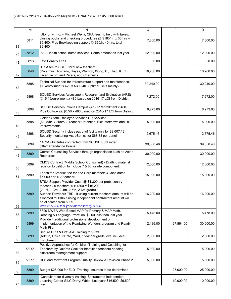|                                                                                                         | M                                                                  | Ν                                                                                                                                                                                                                                                                                                                                                                     | $\circ$   | P         | Q         |
|---------------------------------------------------------------------------------------------------------|--------------------------------------------------------------------|-----------------------------------------------------------------------------------------------------------------------------------------------------------------------------------------------------------------------------------------------------------------------------------------------------------------------------------------------------------------------|-----------|-----------|-----------|
| 39                                                                                                      | 5811                                                               | Utonomy, Inc. = Michael Welty, CPA fees to help with taxes,<br>closing books and checking procedures @ \$180/hr. x 30 hrs =<br>\$5,400. Plus Bookkeeping support @ \$60/h. 40 hrs. total =<br>\$2,400                                                                                                                                                                 |           |           | 7,800.00  |
| 40                                                                                                      | 5812<br>K12 Health school nurse services. Same amount as last year |                                                                                                                                                                                                                                                                                                                                                                       | 12,000.00 |           | 12,000.00 |
| 41                                                                                                      | 5813                                                               | Late Penalty Fees                                                                                                                                                                                                                                                                                                                                                     | 50.00     |           | 50.00     |
| 42                                                                                                      | 5840                                                               | BTSA fee to SCOE for 9 new teachers<br>(Palermini, Toscano, Hayes, Warrick, Xiong, P., Thao, K., 1<br>vacant in 5th and Peters, and Cherney.)                                                                                                                                                                                                                         | 16,200.00 |           | 16,200.00 |
| 43                                                                                                      | 5898                                                               | Technical Support for infrastructure support and maintenance.<br>\$72/enrollment x 420 = \$30,240. Optimal Teks mainly?                                                                                                                                                                                                                                               | 30,240.00 |           | 30,240.00 |
| 44                                                                                                      | 5898                                                               | SCUSD Services Assessment Research and Evaluation (ARE)<br>@15.15/enrollment x 480 based on 2016-17 LOI from District                                                                                                                                                                                                                                                 | 7,272.00  |           | 7,272.00  |
| 45                                                                                                      | 5898                                                               | SCUSD Services Infinite Campus @12.51/enrollment x 480.<br>Plus Outlook @ \$0.56 x 480 based on 2016-17 LOI from District.                                                                                                                                                                                                                                            | 6,273.60  |           | 6,273.60  |
| 46                                                                                                      | 5898                                                               | Golden State Employer Services HR Services<br>(\$125/hr. x 20hrs.) Teacher Retention, Exit Interviews and HR<br>Improvements                                                                                                                                                                                                                                          | 5,000.00  |           | 5,000.00  |
| 47                                                                                                      | 5898                                                               | SCUSD Security inclues patrol of facilty only for \$2,607.13<br>Security monitoring-AstroSonics for \$68.33 per panel                                                                                                                                                                                                                                                 | 2,675.46  |           | 2,675.46  |
| 1102-Substitutes contracted from SCUSD SubFinder<br>5899<br>39,358.46<br>(Staff Attendance Bonus)<br>48 |                                                                    |                                                                                                                                                                                                                                                                                                                                                                       | 39,358.46 |           |           |
| 49                                                                                                      | 5899                                                               | Cotract Counseling Services through organziation such as Asian<br><b>Resources</b>                                                                                                                                                                                                                                                                                    | 30,000.00 |           | 30,000.00 |
| 50                                                                                                      | 5899                                                               | CMCS Contract (Middle School Consultant) - Drafting material<br>revision to petition to include 7 & 8th grade component.                                                                                                                                                                                                                                              | 12,000.00 | 12,000.00 |           |
| 51                                                                                                      | 5899                                                               | Teach for America fee for one Corp member: 3 Candidates<br>\$5,000 per TFA teacher.                                                                                                                                                                                                                                                                                   | 15,000.00 |           | 15,000.00 |
| 52                                                                                                      | 5899                                                               | BTSA Support Provider Cost @ \$1,800 per probationary<br>teacher x 9 teachers. $9 \times 1800 = $16,200$ .<br>(2-1st, 1-3rd, 2-4th, 2-5th, 2-6th grade)<br>Support Providers TBD. If using current teachers amount will be<br>allocated to 1106 if using independent contractors amount will<br>be allocated from 5899.<br>Was \$16,200 last year incraesed by \$0.00 | 16,200.00 |           | 16,200.00 |
| 53                                                                                                      | 5899                                                               | 5899 NWEA Web Based MAP for Primary & MAP Math,<br>Reading & Language Proration. \$2.00 less than last year.                                                                                                                                                                                                                                                          | 5,478.00  |           | 5,478.00  |
| 54                                                                                                      | 5899                                                               | Provide 4 additional professional development on<br>implementation of the Readwing Wonders program and Ready<br>Math Pilot                                                                                                                                                                                                                                            | 2,136.00  | 27,864.00 | 30,000.00 |
| 55                                                                                                      | 5899                                                               | Secure CPR & First Aid Training for Staff<br>(Admin, Office, Nurse, Yard, 1 teacher/grade leve includes<br>Enrichment)                                                                                                                                                                                                                                                | 2,000.00  |           | 2,000.00  |
| 56                                                                                                      | 5899*                                                              | Positive Approaches for Children Training and Coaching for<br>Teachers by Dolores Cook for identified teachers needing<br>classroom management support.                                                                                                                                                                                                               | 5,000.00  |           | 5,000.00  |
| 57                                                                                                      | 5899*                                                              | HLD and Movment Program Quality Review & Revision Phase 2                                                                                                                                                                                                                                                                                                             | 5,000.00  |           | 5,000.00  |
| 58                                                                                                      | 5899                                                               | Budget \$25,000 for ELD Training, sources to be determined.                                                                                                                                                                                                                                                                                                           |           | 25,000.00 | 25,000.00 |
| 59                                                                                                      | 5899                                                               | Consultant for diversity training. Sacramento Independent<br>Learning Center SILC Darryl White. Last year \$16,500. \$6,500<br>عموا                                                                                                                                                                                                                                   |           | 10,000.00 | 10,000.00 |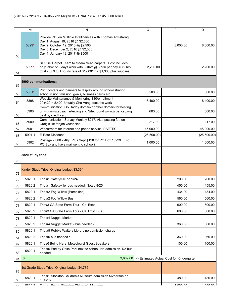|                                                | M                                                                                                                                                                                                                    | N                                                                                                                                                                                               | $\circ$     | P                                         | Q         |
|------------------------------------------------|----------------------------------------------------------------------------------------------------------------------------------------------------------------------------------------------------------------------|-------------------------------------------------------------------------------------------------------------------------------------------------------------------------------------------------|-------------|-------------------------------------------|-----------|
| 60                                             | Provide PD on Multiple Intelligences with Thomas Armstrong<br>Day 1: August 19, 2016 @ \$2,500<br>5899*<br>Day 2: October 19, 2016 @ \$2,500<br>Day 3: December 2, 2016 @ \$2,500<br>Day 4: January 19, 2017 @ \$500 |                                                                                                                                                                                                 |             | 8,000.00                                  | 8,000.00  |
| 61                                             | 5899*                                                                                                                                                                                                                | SCUSD Carpet Team to steam clean carpets. Cost includes<br>only labor of 3 days work with 3 staff @ 8 hrs/ per day = 72 hrs<br>total x SCUSD hourly rate of $$19.00/hr = $1,368$ plus supplies. | 2,200.00    |                                           | 2,200.00  |
| 62                                             |                                                                                                                                                                                                                      | 5900 communications:                                                                                                                                                                            |             |                                           |           |
| 63                                             | 5801*                                                                                                                                                                                                                | Print posters and banners to display around school sharing<br>school vision, mission, goals, business cards etc.                                                                                | 500.00      |                                           | 500.00    |
| 64                                             | 5898                                                                                                                                                                                                                 | Website Maintenance & Monitoring \$30/enrollment<br>20x420 = 8,400. Usually Cha Vang does the work                                                                                              | 8,400.00    |                                           | 8,400.00  |
| 65                                             | Communication: Go Daddy domain or other domain for hosting<br>5900<br>on wix www.ypsacharter.org and Siteground www.urbancsc.org<br>600.00<br>paid by credit card.                                                   |                                                                                                                                                                                                 | 600.00      |                                           |           |
| 66                                             | 5900                                                                                                                                                                                                                 | Communication: Survey Monkey \$217. Also posting fee on<br>Craig's list for job vacancies.                                                                                                      | 217.00      |                                           | 217.00    |
| 67                                             | 5901                                                                                                                                                                                                                 | Windstream for internet and phone service. PAETEC                                                                                                                                               | 45,000.00   |                                           | 45,000.00 |
| 5901.1<br>E-Rate Discount<br>(25,500.00)<br>68 |                                                                                                                                                                                                                      |                                                                                                                                                                                                 | (25,500.00) |                                           |           |
| 69                                             | 5902                                                                                                                                                                                                                 | Postage 2,000 x 46¢. Plus Sept \$128 for PO Box 18929. End<br>PO Box and have mail sent to school?                                                                                              | 1,000.00    |                                           | 1,000.00  |
| 70                                             | 5820 study trips:                                                                                                                                                                                                    |                                                                                                                                                                                                 |             |                                           |           |
| 71                                             |                                                                                                                                                                                                                      | Kinder Study Trips. Original budget \$3,364.                                                                                                                                                    |             |                                           |           |
| 72                                             | 5820.1                                                                                                                                                                                                               | Trip #1 Safetyville on 9/24                                                                                                                                                                     |             | 200.00                                    | 200.00    |
| 73                                             | 5820.2                                                                                                                                                                                                               | Trip #1 Safetyville bus needed. Noted 8/25                                                                                                                                                      |             | 455.00                                    | 455.00    |
| 74                                             | 5820.1                                                                                                                                                                                                               | Trip #2 Fog Willow (Pumpkins)                                                                                                                                                                   |             | 434.00                                    | 434.00    |
| 75                                             | 5820.2                                                                                                                                                                                                               | Trip #2 Fog Willow Bus                                                                                                                                                                          |             | 560.00                                    | 560.00    |
| 76                                             | 5820.1                                                                                                                                                                                                               | Trip#3 CA State Farm Tour - Cal Expo                                                                                                                                                            |             | 600.00                                    | 600.00    |
| 77                                             | 5820.2                                                                                                                                                                                                               | Trip#3 CA State Farm Tour - Cal Expo Bus                                                                                                                                                        |             | 600.00                                    | 600.00    |
| 78                                             | 5820.1                                                                                                                                                                                                               | Trip #4 Nugget Market                                                                                                                                                                           |             |                                           |           |
| 79                                             | 5820.2                                                                                                                                                                                                               | Trip #4 Nugget Market - bus needed?                                                                                                                                                             |             | 360.00                                    | 360.00    |
| 80                                             | 5820.1                                                                                                                                                                                                               | Trip #5 Robbie Walters Library no admission charge                                                                                                                                              |             |                                           |           |
| 81                                             | 5820.2                                                                                                                                                                                                               | Trip #5 bus needed?                                                                                                                                                                             |             | 360.00                                    | 360.00    |
| 82                                             | 5820.1                                                                                                                                                                                                               | Trip#6 Being Here Meteologist Guest Speakers                                                                                                                                                    |             | 100.00                                    | 100.00    |
| 83                                             | 5820.1                                                                                                                                                                                                               | Trip #6 Parkay Oaks Park next to school. No admission. No bus<br>needed.                                                                                                                        |             |                                           |           |
| 84                                             | \$                                                                                                                                                                                                                   | 3,669.00                                                                                                                                                                                        |             | <- Estimated Actual Cost for Kindergarten |           |
| 85                                             |                                                                                                                                                                                                                      | 1st Grade Study Trips. Original budget \$4,775                                                                                                                                                  |             |                                           |           |
| 86                                             | 5820.1                                                                                                                                                                                                               | Trip #1 Stockton Children's Museum admission \$6/person on<br>1/20/16                                                                                                                           |             | 480.00                                    | 480.00    |
|                                                | conn n                                                                                                                                                                                                               | 44 Dun to Ctankton Childran's Museum                                                                                                                                                            |             | י טט טטט ז                                | nn nn 1   |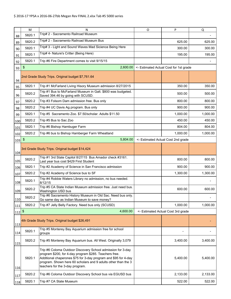|           | M                                                  | N                                                                                                                                                                                                                                                                                            | O                                  | P                                      | Q        |
|-----------|----------------------------------------------------|----------------------------------------------------------------------------------------------------------------------------------------------------------------------------------------------------------------------------------------------------------------------------------------------|------------------------------------|----------------------------------------|----------|
| 88        | 5820.1                                             | Trip# 2 - Sacramento Railroad Museum                                                                                                                                                                                                                                                         |                                    |                                        |          |
| 89        | Trip# 2 - Sacramento Railroad Museum Bus<br>5820.2 |                                                                                                                                                                                                                                                                                              |                                    | 625.00                                 | 625.00   |
| 90        | 5820.1                                             | Trip# 3 - Light and Sound Waves Mad Sicience Being Here                                                                                                                                                                                                                                      |                                    | 300.00                                 | 300.00   |
| 91        | 5820.1                                             | Trip# 4- Nature's Critter (Being Here)                                                                                                                                                                                                                                                       |                                    | 195.00                                 | 195.00   |
| 92        | 5820.1                                             | Trip #6 Fire Department comes to visit 9/15/15                                                                                                                                                                                                                                               |                                    |                                        |          |
| 93        | \$                                                 | 2,600.00                                                                                                                                                                                                                                                                                     |                                    | <- Estimated Actual Cost for 1st grade |          |
| 94        |                                                    | 2nd Grade Study Trips. Original budget \$7,761.64                                                                                                                                                                                                                                            |                                    |                                        |          |
| 95        | 5820.1                                             | Trip #1 McFarland Living Hisory Museum admission 8/27/2015                                                                                                                                                                                                                                   |                                    | 350.00                                 | 350.00   |
| 96        | 5820.2                                             | Trip #1 Bus to McFarland Museum in Galt. \$800 was budgeted.<br>Saved 394.46 by going with SCUSD.                                                                                                                                                                                            |                                    | 500.00                                 | 500.00   |
| 97        | 5820.2                                             | Trip #3 Folsom Dam admission free. Bus only                                                                                                                                                                                                                                                  |                                    | 800.00                                 | 800.00   |
| 98        | 5820.2                                             | Trip #4 UC Davis Ag program. Bus only                                                                                                                                                                                                                                                        |                                    | 900.00                                 | 900.00   |
| 99        | 5820.1                                             | Trip #5 Sacramento Zoo. \$7.50/scholar. Adults \$11.50                                                                                                                                                                                                                                       |                                    | 1,000.00                               | 1,000.00 |
| 100       | 5820.2                                             | Trip #5 Bus to Sac Zoo                                                                                                                                                                                                                                                                       |                                    | 450.00                                 | 450.00   |
| 101       | 5820.1                                             | Trip #6 Bishop Hambuger Farm                                                                                                                                                                                                                                                                 |                                    | 804.00                                 | 804.00   |
| 102       | 5820.2                                             | Trip #6 bus to Bishop Hamberger Farm Wheatland<br>1,000.00                                                                                                                                                                                                                                   |                                    | 1,000.00                               |          |
| 103       | 5,804.00<br>$\frac{1}{2}$                          |                                                                                                                                                                                                                                                                                              | <- Estimated Actual Cost 2nd grade |                                        |          |
| 104       |                                                    | 3rd Grade Study Trips. Original budget \$14,424                                                                                                                                                                                                                                              |                                    |                                        |          |
| 105       | 5820.2                                             | Trip #1 3rd State Capitol 8/27/15 Bus Amador check #3161.<br>Last year bus cost \$429 First Student                                                                                                                                                                                          |                                    | 800.00                                 | 800.00   |
| 106       | 5820.1                                             | Trip #2 Academy of Science in San Francisco admission                                                                                                                                                                                                                                        |                                    | 900.00                                 | 900.00   |
| 107       | 5820.2                                             | Trip #2 Academy of Science bus to SF                                                                                                                                                                                                                                                         |                                    | 1,300.00                               | 1,300.00 |
| 108       | 5820.1                                             | Trip #4 Robbie Waters Library no admission, no bus needed.<br>8/12/15                                                                                                                                                                                                                        |                                    |                                        |          |
| 109       | 5820.2                                             | Trip #5 CA State Indian Museum admission free. Just need bus.<br>Washington USD bus                                                                                                                                                                                                          |                                    | 600.00                                 | 600.00   |
| 110       | 5820.2                                             | Trip #6 Sacramento History Museum in Old Sac. Need bus only.<br>Go same day as Indian Museum to save money?                                                                                                                                                                                  |                                    |                                        |          |
| 111       | 5820.2                                             | Trip #7 Jelly Belly Factory. Need bus only (SCUSD)                                                                                                                                                                                                                                           |                                    | 1,000.00                               | 1,000.00 |
| $112^{5}$ |                                                    | 4,600.00                                                                                                                                                                                                                                                                                     |                                    | <- Estimated Actual Cost 3rd grade     |          |
| 113       |                                                    | 4th Grade Study Trips. Original budget \$26,491                                                                                                                                                                                                                                              |                                    |                                        |          |
| 114       | 5820.1                                             | Trip #5 Monterey Bay Aquarium admission free for school<br>groups                                                                                                                                                                                                                            |                                    |                                        |          |
| 115       | 5820.2                                             | Trip #5 Monterey Bay Aquarium bus. All West. Originally 3,079                                                                                                                                                                                                                                |                                    | 3,400.00                               | 3,400.00 |
| 116       | 5820.1                                             | Trip #6 Coloma Outdoor Discovery School admission for 3-day<br>program \$200, for 4-day program \$285. Teachers free.<br>Additional chaperones \$75 for 3-day program and \$95 for 4-day<br>program. Shown here 60 scholars and 9 adults other than the 3<br>teachers for the 3-day program. |                                    | 5,400.00                               | 5,400.00 |
| 117       | 5820.2                                             | Trip #6 Coloma Outdoor Discovery School bus via EGUSD bus                                                                                                                                                                                                                                    |                                    | 2,133.00                               | 2,133.00 |
| 118       | 5820.1<br>Trip #7 CA State Museum                  |                                                                                                                                                                                                                                                                                              |                                    | 522.00                                 | 522.00   |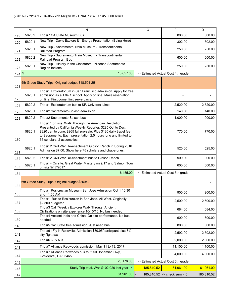|              | м                                                                                   | N                                                                                                                                                                                                                                                                                            | $\circ$    | P                                  | Q          |
|--------------|-------------------------------------------------------------------------------------|----------------------------------------------------------------------------------------------------------------------------------------------------------------------------------------------------------------------------------------------------------------------------------------------|------------|------------------------------------|------------|
| 119          | 5820.2                                                                              | Trip #7 CA State Museum Bus                                                                                                                                                                                                                                                                  |            | 800.00                             | 800.00     |
| 120          | 5820.1                                                                              | New Trip - Davis Explore It - Energy Presentation (Being Here)                                                                                                                                                                                                                               |            | 302.00                             | 302.00     |
| 121          | New Trip - Sacramento Train Museum - Transcontinental<br>5820.1<br>Railroad Program |                                                                                                                                                                                                                                                                                              |            | 250.00                             | 250.00     |
| 122          | 5820.2                                                                              | New Trip - Sacramento Train Museum - Transcontinental<br>Railroad Program Bus                                                                                                                                                                                                                |            | 600.00                             | 600.00     |
| 123          | 5820.1                                                                              | New Trip - History in the Classroom - Nisenan Sacramento<br>Region Indians                                                                                                                                                                                                                   |            | 250.00                             | 250.00     |
| $124 \, $ \$ |                                                                                     | 13,657.00                                                                                                                                                                                                                                                                                    |            | <- Estimated Actual Cost 4th grade |            |
| 125          |                                                                                     | 5th Grade Study Trips. Original budget \$18,501.25                                                                                                                                                                                                                                           |            |                                    |            |
| 126          | 5820.1                                                                              | Trip #1 Exploratorium in San Francisco admission. Apply for free<br>admission as a Title 1 school. Apply on line. Make reservation<br>on line. First come, first serve basis.                                                                                                                |            |                                    |            |
| 127          | 5820.2                                                                              | Trip #1 Exploratorium bus to SF. Universal Limo                                                                                                                                                                                                                                              |            | 2,520.00                           | 2,520.00   |
| 128          | 5820.1                                                                              | Trip #2 Sacramento Splash admission                                                                                                                                                                                                                                                          |            | 140.00                             | 140.00     |
| 129          | 5820.2                                                                              | Trip #2 Sacramento Splash bus                                                                                                                                                                                                                                                                |            | 1,000.00                           | 1,000.00   |
| 130          | 5820.1                                                                              | Trip #11 on site: Walk Through the American Revolution.<br>Presented by California Weekly Reporter. \$295 Oct to Dec.<br>\$320 Jan to June. \$265 fall pre-sale. Plus \$130 daily travel fee<br>to Sacramento. Each presentation 2.5 hours long and limited to<br>36 scholars. 2 assemblies. |            | 770.00                             | 770.00     |
| 131          | 5820.1                                                                              | Trip #12 Civil War Re-enachment Gibson Ranch in Spring 2016.<br>Admission \$7.00. Show here 75 scholars and chaperones.                                                                                                                                                                      |            | 525.00                             | 525.00     |
| 132          | 5820.2                                                                              | Trip #12 Civil War Re-enactment bus to Gibson Ranch                                                                                                                                                                                                                                          |            | 900.00                             | 900.00     |
| 133          | 5820.1                                                                              | Trip #14 On site: Great Water Mystery on 9/17 and Salmon Tour<br>on site 9/17/2017                                                                                                                                                                                                           |            | 600.00                             | 600.00     |
| 134          |                                                                                     | 6,455.00                                                                                                                                                                                                                                                                                     |            | <- Estimated Actual Cost 5th grade |            |
| 135          |                                                                                     | 6th Grade Study Trips. Original budget \$25042                                                                                                                                                                                                                                               |            |                                    |            |
| 136          |                                                                                     | Trip #1 Rosicrucian Museum San Jose Admission Oct 1 10:30<br>and 11:00 AM                                                                                                                                                                                                                    |            | 900.00                             | 900.00     |
| 137          |                                                                                     | Trip #1 Bus to Rosicurcian in San Jose. All West. Originally<br>\$2,300 budgeted                                                                                                                                                                                                             |            | 2,500.00                           | 2,500.00   |
| 138          |                                                                                     | Trip #3 Calif Weekly Explorer Walk Through Ancient<br>Civilizations on site experience 10/15/15. No bus needed.                                                                                                                                                                              |            | 684.00                             | 684.00     |
| 139          |                                                                                     | Trip #4 Ancient India and China. On site performance. No bus<br>needed.                                                                                                                                                                                                                      |            | 600.00                             | 600.00     |
| 140          |                                                                                     | Trip #5 Sac State free admission. Just need bus                                                                                                                                                                                                                                              |            | 800.00                             | 800.00     |
| 141          |                                                                                     | Trip #6 i-Fly in Roseville. Admission \$39.95/participant plus 3%<br>city flight tax                                                                                                                                                                                                         |            | 2,592.00                           | 2,592.00   |
| 142          |                                                                                     | Trip #6 i-Fly bus                                                                                                                                                                                                                                                                            |            | 2,000.00                           | 2,000.00   |
| 143          |                                                                                     | Trip #7 Alliance Redwoods admission. May 11 to 13, 2017                                                                                                                                                                                                                                      |            | 11,100.00                          | 11,100.00  |
| 144          |                                                                                     | Trip #7 Alliance Redwoods bus to 6250 Bohemian Hwy,<br>Occidental, CA 95465                                                                                                                                                                                                                  |            | 4,000.00                           | 4,000.00   |
| 145          |                                                                                     | 25,176.00                                                                                                                                                                                                                                                                                    |            | <- Estimated Actual Cost 6th grade |            |
| 146          |                                                                                     | Study Trip total. Was \$102,920 last year-->                                                                                                                                                                                                                                                 | 185,810.52 | 61,961.00                          | 61,961.00  |
| 147          |                                                                                     | 61,961.00                                                                                                                                                                                                                                                                                    |            | 185,810.52 <- check sum = $0$      | 185,810.52 |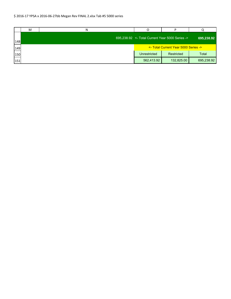|     | М | N |                                                 |                                      |              |
|-----|---|---|-------------------------------------------------|--------------------------------------|--------------|
| 148 |   |   | 695,238.92 <- Total Current Year 5000 Series -> |                                      | 695,238.92   |
| 149 |   |   |                                                 | <- Total Current Year 5000 Series -> |              |
| 150 |   |   | Unrestricted                                    | Restricted                           | <b>Total</b> |
| 151 |   |   | 562,413.92                                      | 132,825.00                           | 695,238.92   |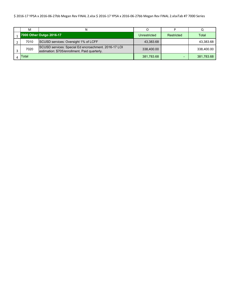#### \$ 2016‐17 YPSA x 2016‐06‐27bb Megan Rev FINAL 2.xlsx \$ 2016‐17 YPSA x 2016‐06‐27bb Megan Rev FINAL 2.xlsxTab #7 7000 Series

| м     |                                                                                                       |              |            |            |
|-------|-------------------------------------------------------------------------------------------------------|--------------|------------|------------|
|       | 7000 Other Outgo 2016-17                                                                              | Unrestricted | Restricted | Total      |
| 7010  | SCUSD services: Oversight 1% of LCFF                                                                  | 43,383.68    |            | 43,383.68  |
| 7020  | SCUSD services: Special Ed encroachment. 2016-17 LOI<br>estimation: \$705/enrollment. Paid quarterly. | 338,400.00   |            | 338,400.00 |
| Гоtal |                                                                                                       | 381,783.68   |            | 381,783.68 |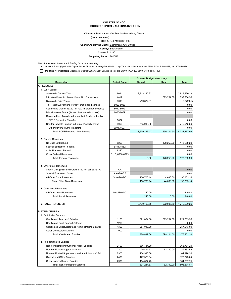#### **CHARTER SCHOOL BUDGET REPORT - ALTERNATIVE FORM**

|  | Charter School Name: Yav Pem Suab Academy Charter |
|--|---------------------------------------------------|
|--|---------------------------------------------------|

| (name continued)                                         |                         |
|----------------------------------------------------------|-------------------------|
|                                                          | CDS #: 34 67439 0121665 |
| <b>Charter Approving Entity: Sacramento City Unified</b> |                         |
|                                                          | County: Sacramento      |
| <b>Charter #: 1186</b>                                   |                         |
| Budgeting Period: 2016/17                                |                         |

*This charter school uses the following basis of accounting:*

**x** Accrual Basis (Applicable Capital Assets / Interest on Long-Term Debt / Long-Term Liabilities objects are 6900, 7438, 9400-9499, and 9660-9669)

**Modified Accrual Basis** (Applicable Capital Outlay / Debt Service objects are 6100-6170, 6200-6500, 7438, and 7439)

|                                                                     | <b>Current Budget Year - July 1</b> |                          |            |                          |
|---------------------------------------------------------------------|-------------------------------------|--------------------------|------------|--------------------------|
| <b>Description</b>                                                  | <b>Object Code</b>                  | Unrest.                  | Rest.      | <b>Total</b>             |
| <b>A. REVENUES</b>                                                  |                                     |                          |            |                          |
| 1. LCFF Sources                                                     |                                     |                          |            |                          |
| State Aid - Current Year                                            | 8011                                | 2,913,120.33             |            | 2,913,120.33             |
| Education Protection Account State Aid - Current Year               | 8012                                |                          | 699,204.50 | 699,204.50               |
| State Aid - Prior Years                                             | 8019                                | (19, 872.31)             |            | (19, 872.31)             |
| Tax Relief Subventions (for rev. limit funded schools)              | 8020-8039                           |                          |            | 0.00                     |
| County and District Taxes (for rev. limit funded schools)           | 8040-8079                           |                          |            | 0.00                     |
| Miscellaneous Funds (for rev. limit funded schools)                 | 8080-8089                           |                          |            | 0.00                     |
| Revenue Limit Transfers (for rev. limit funded schools):            |                                     |                          |            |                          |
| <b>PERS Reduction Transfer</b>                                      | 8092                                |                          |            | 0.00                     |
| Charter Schools Funding in Lieu of Property Taxes                   | 8096                                | 745,915.39               |            | 745,915.39               |
| Other Revenue Limit Transfers                                       | 8091, 8097                          |                          |            | 0.00                     |
| Total, LCFF/Revenue Limit Sources                                   |                                     | 3,639,163.42             | 699,204.50 | 4,338,367.92             |
| 2. Federal Revenues                                                 |                                     |                          |            |                          |
| No Child Left Behind                                                | 8290                                |                          | 178,259.20 | 178,259.20               |
| Special Education - Federal                                         | 8181, 8182                          |                          |            | 0.00                     |
| Child Nutrition - Federal                                           | 8220                                |                          |            | 0.00                     |
| <b>Other Federal Revenues</b>                                       | 8110, 8260-8299                     |                          |            | 0.00                     |
| <b>Total, Federal Revenues</b>                                      |                                     | 0.00                     | 178,259.20 | 178,259.20               |
| 3. Other State Revenues                                             |                                     |                          |            |                          |
| Charter Categorical Block Grant (8480 N/A per SBX3 - 4)             | N/A                                 |                          |            | 0.00                     |
| Special Education - State                                           | StateRevSE                          |                          |            | 0.00                     |
| All Other State Revenues                                            | <b>StateRevAO</b>                   | 150,700.14               | 44,633.00  | 195,333.14               |
| Total, Other State Revenues                                         |                                     | 150,700.14               | 44,633.00  | 195,333.14               |
|                                                                     |                                     |                          |            |                          |
| 4. Other Local Revenues                                             |                                     |                          |            |                          |
| All Other Local Revenues                                            | LocalRevAO                          | 240.00                   |            | 240.00                   |
| <b>Total, Local Revenues</b>                                        |                                     | 240.00                   | 0.00       | 240.00                   |
|                                                                     |                                     |                          |            |                          |
| 5. TOTAL REVENUES                                                   |                                     | 3,790,103.56             | 922,096.70 | 4,712,200.26             |
| <b>B. EXPENDITURES</b>                                              |                                     |                          |            |                          |
| 1. Certificated Salaries                                            |                                     |                          |            |                          |
| <b>Certificated Teachers' Salaries</b>                              | 1100                                | 521,884.86               | 699,204.50 | 1,221,089.36             |
| Certificated Pupil Support Salaries                                 | 1200                                |                          |            | 0.00                     |
| Certificated Supervisors' and Administrators' Salaries              | 1300                                | 257,013.00               |            | 257,013.00               |
| <b>Other Certificated Salaries</b>                                  | 1900                                |                          |            | 0.00                     |
| <b>Total, Certificated Salaries</b>                                 |                                     | 778,897.86               | 699,204.50 | 1,478,102.36             |
|                                                                     |                                     |                          |            |                          |
| 2. Non-certificated Salaries                                        |                                     |                          |            |                          |
| Non-certificated Instructional Aides' Salaries                      | 2100                                | 366,734.20               |            | 366,734.20               |
| Non-certificated Support Salaries                                   | 2200                                | 75,491.52                | 62,340.00  | 137,831.52               |
| Non-certificated Supervisors' and Administrators' Sal.              | 2300                                | 104,998.36               |            | 104,998.36               |
| <b>Clerical and Office Salaries</b>                                 | 2400                                | 122,323.04               |            | 122,323.04               |
| Other Non-certificated Salaries<br>Total, Non-certificated Salaries | 2900                                | 164,687.75<br>834,234.87 | 62,340.00  | 164,687.75<br>896,574.87 |
|                                                                     |                                     |                          |            |                          |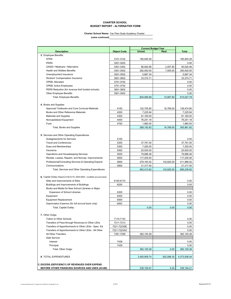#### **CHARTER SCHOOL BUDGET REPORT - ALTERNATIVE FORM**

#### **Charter School Name:** Yav Pem Suab Academy Charter

| <b>Description</b><br><b>Object Code</b><br>Unrest.<br>Rest.<br><b>Total</b><br>3. Employee Benefits<br><b>STRS</b><br>3101-3102<br>185,945.28<br>185,945.28<br><b>PERS</b><br>3201-3202<br>0.00<br>OASDI / Medicare / Alternative<br>3301-3302<br>86,562.66<br>3,457.80<br>90,020.46<br>300,000.00<br><b>Health and Welfare Benefits</b><br>3401-3402<br>292,500.00<br>7,500.00<br>3501-3502<br>5,687.34<br>5,687.34<br>Unemployment Insurance<br>33,374.71<br>Workers' Compensation Insurance<br>3601-3602<br>33,374.71<br>OPEB, Allocated<br>3701-3702<br>0.00<br>0.00<br><b>OPEB, Active Employees</b><br>3751-3752<br>PERS Reduction (for revenue limit funded schools)<br>3801-3802<br>0.00<br><b>Other Employee Benefits</b><br>3901-3902<br>0.00<br>615,027.79<br><b>Total, Employee Benefits</b><br>604,069.99<br>10,957.80<br>4. Books and Supplies<br>Approved Textbooks and Core Curricula Materials<br>4100<br>122,705.80<br>16,769.00<br>139,474.80<br>7,225.84<br>Books and Other Reference Materials<br>4200<br>7,225.84<br>Materials and Supplies<br>4300<br>81,160.00<br>81,160.00<br>Noncapitalized Equipment<br>4400<br>76,241.18<br>76,241.18<br>Food<br>4700<br>1,860.00<br>1,860.00<br>289,192.82<br>16,769.00<br>305,961.82<br>Total, Books and Supplies<br>5. Services and Other Operating Expenditures<br>Subagreements for Services<br>5100<br>0.00<br><b>Travel and Conferences</b><br>5200<br>37,791.00<br>37,791.00<br>Dues and Memberships<br>5300<br>7,250.00<br>7,250.00<br>5400<br>20,000.00<br>20,000.00<br>Insurance<br>5500<br>79,686.46<br>79,686.46<br>Operations and Housekeeping Services<br>Rentals, Leases, Repairs, and Noncap. Improvements<br>5600<br>117,205.94<br>117,205.94<br>Professional/Consulting Services & Operating Expend.<br>5800<br>279,163.52<br>132,825.00<br>411,988.52<br>5900<br>Communications<br>21,317.00<br>21,317.00<br>695,238.92<br>Total, Services and Other Operating Expenditures<br>562,413.92<br>132,825.00<br>6. Capital Outlay (Objects 6100-6170, 6200-6500 - modified accrual basis)<br>6100-6170<br>Sites and Improvements of Sites<br>0.00<br>6200<br>0.00<br>Buildings and Improvements of Buildings<br>Books and Media for New School Libraries or Major<br>6300<br><b>Expansion of School Libraries</b><br>0.00<br>Equipment<br>6400<br>0.00<br><b>Equipment Replacement</b><br>6500<br>0.00<br>Depreciation Expense (for full accrual basis only)<br>6900<br>0.00<br>0.00<br>Total, Capital Outlay<br>0.00<br>0.00<br>7. Other Outgo<br>Tuition to Other Schools<br>7110-7143<br>0.00<br>Transfers of Pass-through Revenues to Other LEAs<br>7211-7213<br>0.00<br>Transfers of Apportionments to Other LEAs - Spec. Ed.<br>7221-7223SE<br>0.00<br>Transfers of Apportionments to Other LEAs - All Other<br>7221-7223AO<br>0.00<br>All Other Transfers<br>7281-7299<br>382,100.28<br>382,100.28<br>Debt Service:<br>7438<br>Interest<br>0.00<br>7439<br>Principal<br>0.00<br>382,100.28<br>Total, Other Outgo<br>382,100.28<br>0.00<br>8. TOTAL EXPENDITURES<br>3,450,909.74<br>922,096.30<br>4,373,006.04<br>C. EXCESS (DEFICIENCY) OF REVENUES OVER EXPEND.<br>BEFORE OTHER FINANCING SOURCES AND USES (A5-B8)<br>339,193.81<br>0.40<br>339,194.21 |  | <b>Current Budget Year</b> |  |  |
|--------------------------------------------------------------------------------------------------------------------------------------------------------------------------------------------------------------------------------------------------------------------------------------------------------------------------------------------------------------------------------------------------------------------------------------------------------------------------------------------------------------------------------------------------------------------------------------------------------------------------------------------------------------------------------------------------------------------------------------------------------------------------------------------------------------------------------------------------------------------------------------------------------------------------------------------------------------------------------------------------------------------------------------------------------------------------------------------------------------------------------------------------------------------------------------------------------------------------------------------------------------------------------------------------------------------------------------------------------------------------------------------------------------------------------------------------------------------------------------------------------------------------------------------------------------------------------------------------------------------------------------------------------------------------------------------------------------------------------------------------------------------------------------------------------------------------------------------------------------------------------------------------------------------------------------------------------------------------------------------------------------------------------------------------------------------------------------------------------------------------------------------------------------------------------------------------------------------------------------------------------------------------------------------------------------------------------------------------------------------------------------------------------------------------------------------------------------------------------------------------------------------------------------------------------------------------------------------------------------------------------------------------------------------------------------------------------------------------------------------------------------------------------------------------------------------------------------------------------------------------------------------------------------------------------------------------------------------------------------------------------------------------------------------------------------------------------------------------------------------------------------------------------------------------------------------------------------------------------------------|--|----------------------------|--|--|
|                                                                                                                                                                                                                                                                                                                                                                                                                                                                                                                                                                                                                                                                                                                                                                                                                                                                                                                                                                                                                                                                                                                                                                                                                                                                                                                                                                                                                                                                                                                                                                                                                                                                                                                                                                                                                                                                                                                                                                                                                                                                                                                                                                                                                                                                                                                                                                                                                                                                                                                                                                                                                                                                                                                                                                                                                                                                                                                                                                                                                                                                                                                                                                                                                                            |  |                            |  |  |
|                                                                                                                                                                                                                                                                                                                                                                                                                                                                                                                                                                                                                                                                                                                                                                                                                                                                                                                                                                                                                                                                                                                                                                                                                                                                                                                                                                                                                                                                                                                                                                                                                                                                                                                                                                                                                                                                                                                                                                                                                                                                                                                                                                                                                                                                                                                                                                                                                                                                                                                                                                                                                                                                                                                                                                                                                                                                                                                                                                                                                                                                                                                                                                                                                                            |  |                            |  |  |
|                                                                                                                                                                                                                                                                                                                                                                                                                                                                                                                                                                                                                                                                                                                                                                                                                                                                                                                                                                                                                                                                                                                                                                                                                                                                                                                                                                                                                                                                                                                                                                                                                                                                                                                                                                                                                                                                                                                                                                                                                                                                                                                                                                                                                                                                                                                                                                                                                                                                                                                                                                                                                                                                                                                                                                                                                                                                                                                                                                                                                                                                                                                                                                                                                                            |  |                            |  |  |
|                                                                                                                                                                                                                                                                                                                                                                                                                                                                                                                                                                                                                                                                                                                                                                                                                                                                                                                                                                                                                                                                                                                                                                                                                                                                                                                                                                                                                                                                                                                                                                                                                                                                                                                                                                                                                                                                                                                                                                                                                                                                                                                                                                                                                                                                                                                                                                                                                                                                                                                                                                                                                                                                                                                                                                                                                                                                                                                                                                                                                                                                                                                                                                                                                                            |  |                            |  |  |
|                                                                                                                                                                                                                                                                                                                                                                                                                                                                                                                                                                                                                                                                                                                                                                                                                                                                                                                                                                                                                                                                                                                                                                                                                                                                                                                                                                                                                                                                                                                                                                                                                                                                                                                                                                                                                                                                                                                                                                                                                                                                                                                                                                                                                                                                                                                                                                                                                                                                                                                                                                                                                                                                                                                                                                                                                                                                                                                                                                                                                                                                                                                                                                                                                                            |  |                            |  |  |
|                                                                                                                                                                                                                                                                                                                                                                                                                                                                                                                                                                                                                                                                                                                                                                                                                                                                                                                                                                                                                                                                                                                                                                                                                                                                                                                                                                                                                                                                                                                                                                                                                                                                                                                                                                                                                                                                                                                                                                                                                                                                                                                                                                                                                                                                                                                                                                                                                                                                                                                                                                                                                                                                                                                                                                                                                                                                                                                                                                                                                                                                                                                                                                                                                                            |  |                            |  |  |
|                                                                                                                                                                                                                                                                                                                                                                                                                                                                                                                                                                                                                                                                                                                                                                                                                                                                                                                                                                                                                                                                                                                                                                                                                                                                                                                                                                                                                                                                                                                                                                                                                                                                                                                                                                                                                                                                                                                                                                                                                                                                                                                                                                                                                                                                                                                                                                                                                                                                                                                                                                                                                                                                                                                                                                                                                                                                                                                                                                                                                                                                                                                                                                                                                                            |  |                            |  |  |
|                                                                                                                                                                                                                                                                                                                                                                                                                                                                                                                                                                                                                                                                                                                                                                                                                                                                                                                                                                                                                                                                                                                                                                                                                                                                                                                                                                                                                                                                                                                                                                                                                                                                                                                                                                                                                                                                                                                                                                                                                                                                                                                                                                                                                                                                                                                                                                                                                                                                                                                                                                                                                                                                                                                                                                                                                                                                                                                                                                                                                                                                                                                                                                                                                                            |  |                            |  |  |
|                                                                                                                                                                                                                                                                                                                                                                                                                                                                                                                                                                                                                                                                                                                                                                                                                                                                                                                                                                                                                                                                                                                                                                                                                                                                                                                                                                                                                                                                                                                                                                                                                                                                                                                                                                                                                                                                                                                                                                                                                                                                                                                                                                                                                                                                                                                                                                                                                                                                                                                                                                                                                                                                                                                                                                                                                                                                                                                                                                                                                                                                                                                                                                                                                                            |  |                            |  |  |
|                                                                                                                                                                                                                                                                                                                                                                                                                                                                                                                                                                                                                                                                                                                                                                                                                                                                                                                                                                                                                                                                                                                                                                                                                                                                                                                                                                                                                                                                                                                                                                                                                                                                                                                                                                                                                                                                                                                                                                                                                                                                                                                                                                                                                                                                                                                                                                                                                                                                                                                                                                                                                                                                                                                                                                                                                                                                                                                                                                                                                                                                                                                                                                                                                                            |  |                            |  |  |
|                                                                                                                                                                                                                                                                                                                                                                                                                                                                                                                                                                                                                                                                                                                                                                                                                                                                                                                                                                                                                                                                                                                                                                                                                                                                                                                                                                                                                                                                                                                                                                                                                                                                                                                                                                                                                                                                                                                                                                                                                                                                                                                                                                                                                                                                                                                                                                                                                                                                                                                                                                                                                                                                                                                                                                                                                                                                                                                                                                                                                                                                                                                                                                                                                                            |  |                            |  |  |
|                                                                                                                                                                                                                                                                                                                                                                                                                                                                                                                                                                                                                                                                                                                                                                                                                                                                                                                                                                                                                                                                                                                                                                                                                                                                                                                                                                                                                                                                                                                                                                                                                                                                                                                                                                                                                                                                                                                                                                                                                                                                                                                                                                                                                                                                                                                                                                                                                                                                                                                                                                                                                                                                                                                                                                                                                                                                                                                                                                                                                                                                                                                                                                                                                                            |  |                            |  |  |
|                                                                                                                                                                                                                                                                                                                                                                                                                                                                                                                                                                                                                                                                                                                                                                                                                                                                                                                                                                                                                                                                                                                                                                                                                                                                                                                                                                                                                                                                                                                                                                                                                                                                                                                                                                                                                                                                                                                                                                                                                                                                                                                                                                                                                                                                                                                                                                                                                                                                                                                                                                                                                                                                                                                                                                                                                                                                                                                                                                                                                                                                                                                                                                                                                                            |  |                            |  |  |
|                                                                                                                                                                                                                                                                                                                                                                                                                                                                                                                                                                                                                                                                                                                                                                                                                                                                                                                                                                                                                                                                                                                                                                                                                                                                                                                                                                                                                                                                                                                                                                                                                                                                                                                                                                                                                                                                                                                                                                                                                                                                                                                                                                                                                                                                                                                                                                                                                                                                                                                                                                                                                                                                                                                                                                                                                                                                                                                                                                                                                                                                                                                                                                                                                                            |  |                            |  |  |
|                                                                                                                                                                                                                                                                                                                                                                                                                                                                                                                                                                                                                                                                                                                                                                                                                                                                                                                                                                                                                                                                                                                                                                                                                                                                                                                                                                                                                                                                                                                                                                                                                                                                                                                                                                                                                                                                                                                                                                                                                                                                                                                                                                                                                                                                                                                                                                                                                                                                                                                                                                                                                                                                                                                                                                                                                                                                                                                                                                                                                                                                                                                                                                                                                                            |  |                            |  |  |
|                                                                                                                                                                                                                                                                                                                                                                                                                                                                                                                                                                                                                                                                                                                                                                                                                                                                                                                                                                                                                                                                                                                                                                                                                                                                                                                                                                                                                                                                                                                                                                                                                                                                                                                                                                                                                                                                                                                                                                                                                                                                                                                                                                                                                                                                                                                                                                                                                                                                                                                                                                                                                                                                                                                                                                                                                                                                                                                                                                                                                                                                                                                                                                                                                                            |  |                            |  |  |
|                                                                                                                                                                                                                                                                                                                                                                                                                                                                                                                                                                                                                                                                                                                                                                                                                                                                                                                                                                                                                                                                                                                                                                                                                                                                                                                                                                                                                                                                                                                                                                                                                                                                                                                                                                                                                                                                                                                                                                                                                                                                                                                                                                                                                                                                                                                                                                                                                                                                                                                                                                                                                                                                                                                                                                                                                                                                                                                                                                                                                                                                                                                                                                                                                                            |  |                            |  |  |
|                                                                                                                                                                                                                                                                                                                                                                                                                                                                                                                                                                                                                                                                                                                                                                                                                                                                                                                                                                                                                                                                                                                                                                                                                                                                                                                                                                                                                                                                                                                                                                                                                                                                                                                                                                                                                                                                                                                                                                                                                                                                                                                                                                                                                                                                                                                                                                                                                                                                                                                                                                                                                                                                                                                                                                                                                                                                                                                                                                                                                                                                                                                                                                                                                                            |  |                            |  |  |
|                                                                                                                                                                                                                                                                                                                                                                                                                                                                                                                                                                                                                                                                                                                                                                                                                                                                                                                                                                                                                                                                                                                                                                                                                                                                                                                                                                                                                                                                                                                                                                                                                                                                                                                                                                                                                                                                                                                                                                                                                                                                                                                                                                                                                                                                                                                                                                                                                                                                                                                                                                                                                                                                                                                                                                                                                                                                                                                                                                                                                                                                                                                                                                                                                                            |  |                            |  |  |
|                                                                                                                                                                                                                                                                                                                                                                                                                                                                                                                                                                                                                                                                                                                                                                                                                                                                                                                                                                                                                                                                                                                                                                                                                                                                                                                                                                                                                                                                                                                                                                                                                                                                                                                                                                                                                                                                                                                                                                                                                                                                                                                                                                                                                                                                                                                                                                                                                                                                                                                                                                                                                                                                                                                                                                                                                                                                                                                                                                                                                                                                                                                                                                                                                                            |  |                            |  |  |
|                                                                                                                                                                                                                                                                                                                                                                                                                                                                                                                                                                                                                                                                                                                                                                                                                                                                                                                                                                                                                                                                                                                                                                                                                                                                                                                                                                                                                                                                                                                                                                                                                                                                                                                                                                                                                                                                                                                                                                                                                                                                                                                                                                                                                                                                                                                                                                                                                                                                                                                                                                                                                                                                                                                                                                                                                                                                                                                                                                                                                                                                                                                                                                                                                                            |  |                            |  |  |
|                                                                                                                                                                                                                                                                                                                                                                                                                                                                                                                                                                                                                                                                                                                                                                                                                                                                                                                                                                                                                                                                                                                                                                                                                                                                                                                                                                                                                                                                                                                                                                                                                                                                                                                                                                                                                                                                                                                                                                                                                                                                                                                                                                                                                                                                                                                                                                                                                                                                                                                                                                                                                                                                                                                                                                                                                                                                                                                                                                                                                                                                                                                                                                                                                                            |  |                            |  |  |
|                                                                                                                                                                                                                                                                                                                                                                                                                                                                                                                                                                                                                                                                                                                                                                                                                                                                                                                                                                                                                                                                                                                                                                                                                                                                                                                                                                                                                                                                                                                                                                                                                                                                                                                                                                                                                                                                                                                                                                                                                                                                                                                                                                                                                                                                                                                                                                                                                                                                                                                                                                                                                                                                                                                                                                                                                                                                                                                                                                                                                                                                                                                                                                                                                                            |  |                            |  |  |
|                                                                                                                                                                                                                                                                                                                                                                                                                                                                                                                                                                                                                                                                                                                                                                                                                                                                                                                                                                                                                                                                                                                                                                                                                                                                                                                                                                                                                                                                                                                                                                                                                                                                                                                                                                                                                                                                                                                                                                                                                                                                                                                                                                                                                                                                                                                                                                                                                                                                                                                                                                                                                                                                                                                                                                                                                                                                                                                                                                                                                                                                                                                                                                                                                                            |  |                            |  |  |
|                                                                                                                                                                                                                                                                                                                                                                                                                                                                                                                                                                                                                                                                                                                                                                                                                                                                                                                                                                                                                                                                                                                                                                                                                                                                                                                                                                                                                                                                                                                                                                                                                                                                                                                                                                                                                                                                                                                                                                                                                                                                                                                                                                                                                                                                                                                                                                                                                                                                                                                                                                                                                                                                                                                                                                                                                                                                                                                                                                                                                                                                                                                                                                                                                                            |  |                            |  |  |
|                                                                                                                                                                                                                                                                                                                                                                                                                                                                                                                                                                                                                                                                                                                                                                                                                                                                                                                                                                                                                                                                                                                                                                                                                                                                                                                                                                                                                                                                                                                                                                                                                                                                                                                                                                                                                                                                                                                                                                                                                                                                                                                                                                                                                                                                                                                                                                                                                                                                                                                                                                                                                                                                                                                                                                                                                                                                                                                                                                                                                                                                                                                                                                                                                                            |  |                            |  |  |
|                                                                                                                                                                                                                                                                                                                                                                                                                                                                                                                                                                                                                                                                                                                                                                                                                                                                                                                                                                                                                                                                                                                                                                                                                                                                                                                                                                                                                                                                                                                                                                                                                                                                                                                                                                                                                                                                                                                                                                                                                                                                                                                                                                                                                                                                                                                                                                                                                                                                                                                                                                                                                                                                                                                                                                                                                                                                                                                                                                                                                                                                                                                                                                                                                                            |  |                            |  |  |
|                                                                                                                                                                                                                                                                                                                                                                                                                                                                                                                                                                                                                                                                                                                                                                                                                                                                                                                                                                                                                                                                                                                                                                                                                                                                                                                                                                                                                                                                                                                                                                                                                                                                                                                                                                                                                                                                                                                                                                                                                                                                                                                                                                                                                                                                                                                                                                                                                                                                                                                                                                                                                                                                                                                                                                                                                                                                                                                                                                                                                                                                                                                                                                                                                                            |  |                            |  |  |
|                                                                                                                                                                                                                                                                                                                                                                                                                                                                                                                                                                                                                                                                                                                                                                                                                                                                                                                                                                                                                                                                                                                                                                                                                                                                                                                                                                                                                                                                                                                                                                                                                                                                                                                                                                                                                                                                                                                                                                                                                                                                                                                                                                                                                                                                                                                                                                                                                                                                                                                                                                                                                                                                                                                                                                                                                                                                                                                                                                                                                                                                                                                                                                                                                                            |  |                            |  |  |
|                                                                                                                                                                                                                                                                                                                                                                                                                                                                                                                                                                                                                                                                                                                                                                                                                                                                                                                                                                                                                                                                                                                                                                                                                                                                                                                                                                                                                                                                                                                                                                                                                                                                                                                                                                                                                                                                                                                                                                                                                                                                                                                                                                                                                                                                                                                                                                                                                                                                                                                                                                                                                                                                                                                                                                                                                                                                                                                                                                                                                                                                                                                                                                                                                                            |  |                            |  |  |
|                                                                                                                                                                                                                                                                                                                                                                                                                                                                                                                                                                                                                                                                                                                                                                                                                                                                                                                                                                                                                                                                                                                                                                                                                                                                                                                                                                                                                                                                                                                                                                                                                                                                                                                                                                                                                                                                                                                                                                                                                                                                                                                                                                                                                                                                                                                                                                                                                                                                                                                                                                                                                                                                                                                                                                                                                                                                                                                                                                                                                                                                                                                                                                                                                                            |  |                            |  |  |
|                                                                                                                                                                                                                                                                                                                                                                                                                                                                                                                                                                                                                                                                                                                                                                                                                                                                                                                                                                                                                                                                                                                                                                                                                                                                                                                                                                                                                                                                                                                                                                                                                                                                                                                                                                                                                                                                                                                                                                                                                                                                                                                                                                                                                                                                                                                                                                                                                                                                                                                                                                                                                                                                                                                                                                                                                                                                                                                                                                                                                                                                                                                                                                                                                                            |  |                            |  |  |
|                                                                                                                                                                                                                                                                                                                                                                                                                                                                                                                                                                                                                                                                                                                                                                                                                                                                                                                                                                                                                                                                                                                                                                                                                                                                                                                                                                                                                                                                                                                                                                                                                                                                                                                                                                                                                                                                                                                                                                                                                                                                                                                                                                                                                                                                                                                                                                                                                                                                                                                                                                                                                                                                                                                                                                                                                                                                                                                                                                                                                                                                                                                                                                                                                                            |  |                            |  |  |
|                                                                                                                                                                                                                                                                                                                                                                                                                                                                                                                                                                                                                                                                                                                                                                                                                                                                                                                                                                                                                                                                                                                                                                                                                                                                                                                                                                                                                                                                                                                                                                                                                                                                                                                                                                                                                                                                                                                                                                                                                                                                                                                                                                                                                                                                                                                                                                                                                                                                                                                                                                                                                                                                                                                                                                                                                                                                                                                                                                                                                                                                                                                                                                                                                                            |  |                            |  |  |
|                                                                                                                                                                                                                                                                                                                                                                                                                                                                                                                                                                                                                                                                                                                                                                                                                                                                                                                                                                                                                                                                                                                                                                                                                                                                                                                                                                                                                                                                                                                                                                                                                                                                                                                                                                                                                                                                                                                                                                                                                                                                                                                                                                                                                                                                                                                                                                                                                                                                                                                                                                                                                                                                                                                                                                                                                                                                                                                                                                                                                                                                                                                                                                                                                                            |  |                            |  |  |
|                                                                                                                                                                                                                                                                                                                                                                                                                                                                                                                                                                                                                                                                                                                                                                                                                                                                                                                                                                                                                                                                                                                                                                                                                                                                                                                                                                                                                                                                                                                                                                                                                                                                                                                                                                                                                                                                                                                                                                                                                                                                                                                                                                                                                                                                                                                                                                                                                                                                                                                                                                                                                                                                                                                                                                                                                                                                                                                                                                                                                                                                                                                                                                                                                                            |  |                            |  |  |
|                                                                                                                                                                                                                                                                                                                                                                                                                                                                                                                                                                                                                                                                                                                                                                                                                                                                                                                                                                                                                                                                                                                                                                                                                                                                                                                                                                                                                                                                                                                                                                                                                                                                                                                                                                                                                                                                                                                                                                                                                                                                                                                                                                                                                                                                                                                                                                                                                                                                                                                                                                                                                                                                                                                                                                                                                                                                                                                                                                                                                                                                                                                                                                                                                                            |  |                            |  |  |
|                                                                                                                                                                                                                                                                                                                                                                                                                                                                                                                                                                                                                                                                                                                                                                                                                                                                                                                                                                                                                                                                                                                                                                                                                                                                                                                                                                                                                                                                                                                                                                                                                                                                                                                                                                                                                                                                                                                                                                                                                                                                                                                                                                                                                                                                                                                                                                                                                                                                                                                                                                                                                                                                                                                                                                                                                                                                                                                                                                                                                                                                                                                                                                                                                                            |  |                            |  |  |
|                                                                                                                                                                                                                                                                                                                                                                                                                                                                                                                                                                                                                                                                                                                                                                                                                                                                                                                                                                                                                                                                                                                                                                                                                                                                                                                                                                                                                                                                                                                                                                                                                                                                                                                                                                                                                                                                                                                                                                                                                                                                                                                                                                                                                                                                                                                                                                                                                                                                                                                                                                                                                                                                                                                                                                                                                                                                                                                                                                                                                                                                                                                                                                                                                                            |  |                            |  |  |
|                                                                                                                                                                                                                                                                                                                                                                                                                                                                                                                                                                                                                                                                                                                                                                                                                                                                                                                                                                                                                                                                                                                                                                                                                                                                                                                                                                                                                                                                                                                                                                                                                                                                                                                                                                                                                                                                                                                                                                                                                                                                                                                                                                                                                                                                                                                                                                                                                                                                                                                                                                                                                                                                                                                                                                                                                                                                                                                                                                                                                                                                                                                                                                                                                                            |  |                            |  |  |
|                                                                                                                                                                                                                                                                                                                                                                                                                                                                                                                                                                                                                                                                                                                                                                                                                                                                                                                                                                                                                                                                                                                                                                                                                                                                                                                                                                                                                                                                                                                                                                                                                                                                                                                                                                                                                                                                                                                                                                                                                                                                                                                                                                                                                                                                                                                                                                                                                                                                                                                                                                                                                                                                                                                                                                                                                                                                                                                                                                                                                                                                                                                                                                                                                                            |  |                            |  |  |
|                                                                                                                                                                                                                                                                                                                                                                                                                                                                                                                                                                                                                                                                                                                                                                                                                                                                                                                                                                                                                                                                                                                                                                                                                                                                                                                                                                                                                                                                                                                                                                                                                                                                                                                                                                                                                                                                                                                                                                                                                                                                                                                                                                                                                                                                                                                                                                                                                                                                                                                                                                                                                                                                                                                                                                                                                                                                                                                                                                                                                                                                                                                                                                                                                                            |  |                            |  |  |
|                                                                                                                                                                                                                                                                                                                                                                                                                                                                                                                                                                                                                                                                                                                                                                                                                                                                                                                                                                                                                                                                                                                                                                                                                                                                                                                                                                                                                                                                                                                                                                                                                                                                                                                                                                                                                                                                                                                                                                                                                                                                                                                                                                                                                                                                                                                                                                                                                                                                                                                                                                                                                                                                                                                                                                                                                                                                                                                                                                                                                                                                                                                                                                                                                                            |  |                            |  |  |
|                                                                                                                                                                                                                                                                                                                                                                                                                                                                                                                                                                                                                                                                                                                                                                                                                                                                                                                                                                                                                                                                                                                                                                                                                                                                                                                                                                                                                                                                                                                                                                                                                                                                                                                                                                                                                                                                                                                                                                                                                                                                                                                                                                                                                                                                                                                                                                                                                                                                                                                                                                                                                                                                                                                                                                                                                                                                                                                                                                                                                                                                                                                                                                                                                                            |  |                            |  |  |
|                                                                                                                                                                                                                                                                                                                                                                                                                                                                                                                                                                                                                                                                                                                                                                                                                                                                                                                                                                                                                                                                                                                                                                                                                                                                                                                                                                                                                                                                                                                                                                                                                                                                                                                                                                                                                                                                                                                                                                                                                                                                                                                                                                                                                                                                                                                                                                                                                                                                                                                                                                                                                                                                                                                                                                                                                                                                                                                                                                                                                                                                                                                                                                                                                                            |  |                            |  |  |
|                                                                                                                                                                                                                                                                                                                                                                                                                                                                                                                                                                                                                                                                                                                                                                                                                                                                                                                                                                                                                                                                                                                                                                                                                                                                                                                                                                                                                                                                                                                                                                                                                                                                                                                                                                                                                                                                                                                                                                                                                                                                                                                                                                                                                                                                                                                                                                                                                                                                                                                                                                                                                                                                                                                                                                                                                                                                                                                                                                                                                                                                                                                                                                                                                                            |  |                            |  |  |
|                                                                                                                                                                                                                                                                                                                                                                                                                                                                                                                                                                                                                                                                                                                                                                                                                                                                                                                                                                                                                                                                                                                                                                                                                                                                                                                                                                                                                                                                                                                                                                                                                                                                                                                                                                                                                                                                                                                                                                                                                                                                                                                                                                                                                                                                                                                                                                                                                                                                                                                                                                                                                                                                                                                                                                                                                                                                                                                                                                                                                                                                                                                                                                                                                                            |  |                            |  |  |
|                                                                                                                                                                                                                                                                                                                                                                                                                                                                                                                                                                                                                                                                                                                                                                                                                                                                                                                                                                                                                                                                                                                                                                                                                                                                                                                                                                                                                                                                                                                                                                                                                                                                                                                                                                                                                                                                                                                                                                                                                                                                                                                                                                                                                                                                                                                                                                                                                                                                                                                                                                                                                                                                                                                                                                                                                                                                                                                                                                                                                                                                                                                                                                                                                                            |  |                            |  |  |
|                                                                                                                                                                                                                                                                                                                                                                                                                                                                                                                                                                                                                                                                                                                                                                                                                                                                                                                                                                                                                                                                                                                                                                                                                                                                                                                                                                                                                                                                                                                                                                                                                                                                                                                                                                                                                                                                                                                                                                                                                                                                                                                                                                                                                                                                                                                                                                                                                                                                                                                                                                                                                                                                                                                                                                                                                                                                                                                                                                                                                                                                                                                                                                                                                                            |  |                            |  |  |
|                                                                                                                                                                                                                                                                                                                                                                                                                                                                                                                                                                                                                                                                                                                                                                                                                                                                                                                                                                                                                                                                                                                                                                                                                                                                                                                                                                                                                                                                                                                                                                                                                                                                                                                                                                                                                                                                                                                                                                                                                                                                                                                                                                                                                                                                                                                                                                                                                                                                                                                                                                                                                                                                                                                                                                                                                                                                                                                                                                                                                                                                                                                                                                                                                                            |  |                            |  |  |
|                                                                                                                                                                                                                                                                                                                                                                                                                                                                                                                                                                                                                                                                                                                                                                                                                                                                                                                                                                                                                                                                                                                                                                                                                                                                                                                                                                                                                                                                                                                                                                                                                                                                                                                                                                                                                                                                                                                                                                                                                                                                                                                                                                                                                                                                                                                                                                                                                                                                                                                                                                                                                                                                                                                                                                                                                                                                                                                                                                                                                                                                                                                                                                                                                                            |  |                            |  |  |
|                                                                                                                                                                                                                                                                                                                                                                                                                                                                                                                                                                                                                                                                                                                                                                                                                                                                                                                                                                                                                                                                                                                                                                                                                                                                                                                                                                                                                                                                                                                                                                                                                                                                                                                                                                                                                                                                                                                                                                                                                                                                                                                                                                                                                                                                                                                                                                                                                                                                                                                                                                                                                                                                                                                                                                                                                                                                                                                                                                                                                                                                                                                                                                                                                                            |  |                            |  |  |
|                                                                                                                                                                                                                                                                                                                                                                                                                                                                                                                                                                                                                                                                                                                                                                                                                                                                                                                                                                                                                                                                                                                                                                                                                                                                                                                                                                                                                                                                                                                                                                                                                                                                                                                                                                                                                                                                                                                                                                                                                                                                                                                                                                                                                                                                                                                                                                                                                                                                                                                                                                                                                                                                                                                                                                                                                                                                                                                                                                                                                                                                                                                                                                                                                                            |  |                            |  |  |
|                                                                                                                                                                                                                                                                                                                                                                                                                                                                                                                                                                                                                                                                                                                                                                                                                                                                                                                                                                                                                                                                                                                                                                                                                                                                                                                                                                                                                                                                                                                                                                                                                                                                                                                                                                                                                                                                                                                                                                                                                                                                                                                                                                                                                                                                                                                                                                                                                                                                                                                                                                                                                                                                                                                                                                                                                                                                                                                                                                                                                                                                                                                                                                                                                                            |  |                            |  |  |
|                                                                                                                                                                                                                                                                                                                                                                                                                                                                                                                                                                                                                                                                                                                                                                                                                                                                                                                                                                                                                                                                                                                                                                                                                                                                                                                                                                                                                                                                                                                                                                                                                                                                                                                                                                                                                                                                                                                                                                                                                                                                                                                                                                                                                                                                                                                                                                                                                                                                                                                                                                                                                                                                                                                                                                                                                                                                                                                                                                                                                                                                                                                                                                                                                                            |  |                            |  |  |
|                                                                                                                                                                                                                                                                                                                                                                                                                                                                                                                                                                                                                                                                                                                                                                                                                                                                                                                                                                                                                                                                                                                                                                                                                                                                                                                                                                                                                                                                                                                                                                                                                                                                                                                                                                                                                                                                                                                                                                                                                                                                                                                                                                                                                                                                                                                                                                                                                                                                                                                                                                                                                                                                                                                                                                                                                                                                                                                                                                                                                                                                                                                                                                                                                                            |  |                            |  |  |
|                                                                                                                                                                                                                                                                                                                                                                                                                                                                                                                                                                                                                                                                                                                                                                                                                                                                                                                                                                                                                                                                                                                                                                                                                                                                                                                                                                                                                                                                                                                                                                                                                                                                                                                                                                                                                                                                                                                                                                                                                                                                                                                                                                                                                                                                                                                                                                                                                                                                                                                                                                                                                                                                                                                                                                                                                                                                                                                                                                                                                                                                                                                                                                                                                                            |  |                            |  |  |
|                                                                                                                                                                                                                                                                                                                                                                                                                                                                                                                                                                                                                                                                                                                                                                                                                                                                                                                                                                                                                                                                                                                                                                                                                                                                                                                                                                                                                                                                                                                                                                                                                                                                                                                                                                                                                                                                                                                                                                                                                                                                                                                                                                                                                                                                                                                                                                                                                                                                                                                                                                                                                                                                                                                                                                                                                                                                                                                                                                                                                                                                                                                                                                                                                                            |  |                            |  |  |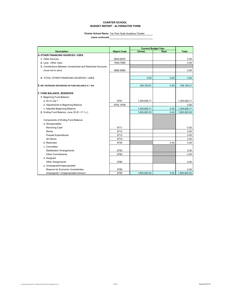#### **CHARTER SCHOOL BUDGET REPORT - ALTERNATIVE FORM**

#### **Charter School Name:** Yav Pem Suab Academy Charter

|                                                               |                    | <b>Current Budget Year</b> |       |              |  |
|---------------------------------------------------------------|--------------------|----------------------------|-------|--------------|--|
| <b>Description</b>                                            | <b>Object Code</b> | Unrest.                    | Rest. | <b>Total</b> |  |
| <b>D. OTHER FINANCING SOURCES / USES</b>                      |                    |                            |       |              |  |
| 1. Other Sources                                              | 8930-8979          |                            |       | 0.00         |  |
| 2. Less: Other Uses                                           | 7630-7699          |                            |       | 0.00         |  |
| 3. Contributions Between Unrestricted and Restricted Accounts |                    |                            |       |              |  |
| (must net to zero)                                            | 8980-8999          |                            |       | 0.00         |  |
| 4. TOTAL OTHER FINANCING SOURCES / USES                       |                    | 0.00                       | 0.00  | 0.00         |  |
| E. NET INCREASE (DECREASE) IN FUND BALANCE (C + D4)           |                    | 339,193.81                 | 0.40  | 339,194.21   |  |
| <b>F. FUND BALANCE, RESERVES</b>                              |                    |                            |       |              |  |
| 1. Beginning Fund Balance                                     |                    |                            |       |              |  |
| a. As of July 1                                               | 9791               | 1,354,626.71               |       | 1,354,626.71 |  |
| b. Adjustments to Beginning Balance                           | 9793, 9795         |                            |       | 0.00         |  |
| c. Adjusted Beginning Balance                                 |                    | 1,354,626.71               | 0.00  | 1,354,626.71 |  |
| 2. Ending Fund Balance, June 30 (E + F.1.c.)                  |                    | 1,693,820.52               | 0.40  | 1,693,820.92 |  |
| Components of Ending Fund Balance                             |                    |                            |       |              |  |
| a. Nonspendable                                               |                    |                            |       |              |  |
| Revolving Cash                                                | 9711               |                            |       | 0.00         |  |
| <b>Stores</b>                                                 | 9712               |                            |       | 0.00         |  |
| <b>Prepaid Expenditures</b>                                   | 9713               |                            |       | 0.00         |  |
| All Others                                                    | 9719               |                            |       | 0.00         |  |
| b. Restricted                                                 | 9740               |                            | 0.40  | 0.40         |  |
| c. Committed                                                  |                    |                            |       |              |  |
| <b>Stabilization Arrangements</b>                             | 9750               |                            |       | 0.00         |  |
| <b>Other Commitments</b>                                      | 9760               |                            |       | 0.00         |  |
| d. Assigned                                                   |                    |                            |       |              |  |
| <b>Other Assignments</b>                                      | 9780               |                            |       | 0.00         |  |
| e. Unassigned/Unappropriated                                  |                    |                            |       |              |  |
| Reserve for Economic Uncertainties                            | 9789               |                            |       | 0.00         |  |
| Unassigned / Unappropriated Amount                            | 9790               | 1.693.820.52               | 0.00  | 1,693,820.52 |  |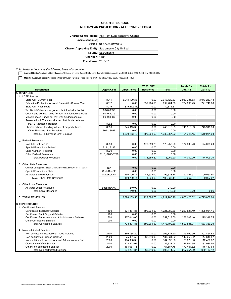#### **CHARTER SCHOOL MULTI-YEAR PROJECTION - ALTERNATIVE FORM**

**Charter School Name:** Yav Pem Suab Academy Charter

| (name continued)                                         |                           |
|----------------------------------------------------------|---------------------------|
|                                                          | CDS #: 34 67439 0121665   |
| <b>Charter Approving Entity: Sacramento City Unified</b> |                           |
|                                                          | <b>County: Sacramento</b> |
| <b>Charter #: 1186</b>                                   |                           |
| <b>Fiscal Year: 2016/17</b>                              |                           |

*This charter school uses the following basis of accounting:*

**Accrual Basis** (Applicable Capital Assets / Interest on Long-Term Debt / Long-Term Liabilities objects are 6900, 7438, 9400-9499, and 9660-9669)

Modified Accrual Basis (Applicable Capital Outlay / Debt Service objects are 6100-6170, 6200-6500, 7438, and 7439)

|                                                                  |                    | FY 2016/17          |                   |              | <b>Totals for</b> | <b>Totals for</b> |
|------------------------------------------------------------------|--------------------|---------------------|-------------------|--------------|-------------------|-------------------|
| <b>Description</b>                                               | <b>Object Code</b> | <b>Unrestricted</b> | <b>Restricted</b> | <b>Total</b> | 2017/18           | 2018/19           |
| <b>A. REVENUES</b>                                               |                    |                     |                   |              |                   |                   |
| 1. LCFF Sources                                                  |                    |                     |                   |              |                   |                   |
| State Aid - Current Year                                         | 8011               | 2,913,120.33        | 0.00              | 2,913,120.33 | 2,953,735.63      | 3,043,267.18      |
| Education Protection Account State Aid - Current Year            | 8012               | 0.00                | 699,204.50        | 699,204.50   | 704,695.43        | 721,749.06        |
| State Aid - Prior Years                                          | 8019               | (19, 872.31)        | 0.00              | (19, 872.31) |                   |                   |
| Tax Relief Subventions (for rev. limit funded schools)           | 8020-8039          | 0.00                | 0.00              | 0.00         |                   |                   |
| County and District Taxes (for rev. limit funded schools)        | 8040-8079          | 0.00                | 0.00              | 0.00         |                   |                   |
| Miscellaneous Funds (for rev. limit funded schools)              | 8080-8089          | 0.00                | 0.00              | 0.00         |                   |                   |
| Revenue Limit Transfers (for rev. limit funded schools):         |                    |                     |                   |              |                   |                   |
| <b>PERS Reduction Transfer</b>                                   | 8092               | 0.00                | 0.00              | 0.00         |                   |                   |
| Charter Schools Funding in Lieu of Property Taxes                | 8096               | 745,915.39          | 0.00              | 745,915.39   | 745,915.39        | 745,915.39        |
| <b>Other Revenue Limit Transfers</b>                             | 8091.8097          | 0.00                | 0.00              | 0.00         |                   |                   |
| Total, LCFF/Revenue Limit Sources                                |                    | 3,639,163.42        | 699,204.50        | 4,338,367.92 | 4,404,346.45      | 4,510,931.63      |
|                                                                  |                    |                     |                   |              |                   |                   |
| 2. Federal Revenues                                              |                    |                     |                   |              |                   |                   |
| No Child Left Behind                                             | 8290               | 0.00                | 178,259.20        | 178,259.20   | 174,009.20        | 174,009.20        |
| Special Education - Federal                                      | 8181, 8182         | 0.00                | 0.00              | 0.00         |                   |                   |
| <b>Child Nutrition - Federal</b>                                 | 8220               | 0.00                | 0.00              | 0.00         |                   |                   |
| <b>Other Federal Revenues</b>                                    | 8110, 8260-8299    | 0.00                | 0.00              | 0.00         |                   |                   |
| <b>Total, Federal Revenues</b>                                   |                    | 0.00                | 178,259.20        | 178,259.20   | 174,009.20        | 174,009.20        |
|                                                                  |                    |                     |                   |              |                   |                   |
| 3. Other State Revenues                                          |                    |                     |                   |              |                   |                   |
| Charter Categorical Block Grant (8480 N/A thru 2014/15 - SBX3-4) | N/A                | 0.00                | 0.00              | 0.00         |                   |                   |
| Special Education - State                                        | <b>StateRevSE</b>  | 0.00                | 0.00              | 0.00         |                   |                   |
| All Other State Revenues                                         | <b>StateRevAO</b>  | 150.700.14          | 44,633.00         | 195,333.14   | 90.067.97         | 90.067.97         |
| <b>Total, Other State Revenues</b>                               |                    | 150,700.14          | 44,633.00         | 195,333.14   | 90,067.97         | 90,067.97         |
|                                                                  |                    |                     |                   |              |                   |                   |
| 4. Other Local Revenues                                          |                    |                     |                   |              |                   |                   |
| All Other Local Revenues                                         | LocalRevAO         | 240.00              | 0.00              | 240.00       |                   |                   |
| <b>Total, Local Revenues</b>                                     |                    | 240.00              | 0.00              | 240.00       | 0.00              | 0.00              |
|                                                                  |                    |                     |                   |              |                   |                   |
| <b>5. TOTAL REVENUES</b>                                         |                    | 3.790.103.56        | 922.096.70        | 4,712,200.26 | 4.668.423.62      | 4.775.008.80      |
|                                                                  |                    |                     |                   |              |                   |                   |
| <b>B. EXPENDITURES</b>                                           |                    |                     |                   |              |                   |                   |
| 1. Certificated Salaries                                         |                    |                     |                   |              |                   |                   |
| <b>Certificated Teachers' Salaries</b>                           | 1100               | 521,884.86          | 699.204.50        | 1,221,089.36 | 1.263.827.49      | 1,308,061.45      |
| Certificated Pupil Support Salaries                              | 1200               | 0.00                | 0.00              | 0.00         |                   |                   |
| Certificated Supervisors' and Administrators' Salaries           | 1300               | 257,013.00          | 0.00              | 257,013.00   | 266,008.46        | 275,318.75        |
| <b>Other Certificated Salaries</b>                               | 1900               | 0.00                | 0.00              | 0.00         |                   |                   |
| <b>Total, Certificated Salaries</b>                              |                    | 778,897.86          | 699,204.50        | 1,478,102.36 | 1,529,835.94      | 1,583,380.20      |
|                                                                  |                    |                     |                   |              |                   |                   |
| 2. Non-certificated Salaries                                     |                    |                     |                   |              |                   |                   |
| Non-certificated Instructional Aides' Salaries                   | 2100               | 366,734.20          | 0.00              | 366,734.20   | 379,569.90        | 392,854.84        |
| Non-certificated Support Salaries                                | 2200               | 75,491.52           | 62,340.00         | 137,831.52   | 142,655.62        | 147,648.57        |
| Non-certificated Supervisors' and Administrators' Sal.           | 2300               | 104,998.36          | 0.00              | 104,998.36   | 108,673.30        | 112,476.87        |
| <b>Clerical and Office Salaries</b>                              | 2400               | 122,323.04          | 0.00              | 122,323.04   | 126,604.35        | 131,035.50        |
| <b>Other Non-certificated Salaries</b>                           | 2900               | 164,687.75          | 0.00              | 164,687.75   | 170,451.82        | 176,417.63        |
| Total, Non-certificated Salaries                                 |                    | 834,234.87          | 62,340.00         | 896,574.87   | 927,954.99        | 960,433.42        |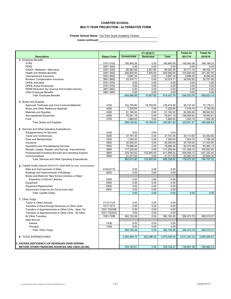#### **CHARTER SCHOOL MULTI-YEAR PROJECTION - ALTERNATIVE FORM**

#### **Charter School Name:** Yav Pem Suab Academy Charter

|                                                                         |                    | FY 2016/17          |                   | <b>Totals for</b> | <b>Totals for</b> |              |
|-------------------------------------------------------------------------|--------------------|---------------------|-------------------|-------------------|-------------------|--------------|
| <b>Description</b>                                                      | <b>Object Code</b> | <b>Unrestricted</b> | <b>Restricted</b> | <b>Total</b>      | 2017/18           | 2018/19      |
| 3. Employee Benefits                                                    |                    |                     |                   |                   |                   |              |
| <b>STRS</b>                                                             | 3101-3102          | 185,945.28          | 0.00              | 185,945.28        | 192,453.36        | 199,189.23   |
| <b>PERS</b>                                                             | 3201-3202          | 0.00                | 0.00              | 0.00              | 0.00              | 0.00         |
| OASDI / Medicare / Alternative                                          | 3301-3302          | 86,562.66           | 3,457.80          | 90,020.46         | 93,171.18         | 96,432.17    |
| <b>Health and Welfare Benefits</b>                                      | 3401-3402          | 292,500.00          | 7,500.00          | 300,000.00        | 310,500.00        | 321,367.50   |
| Unemployment Insurance                                                  | 3501-3502          | 5,687.34            | 0.00              | 5,687.34          | 5,886.40          | 6,092.42     |
| Workers' Compensation Insurance                                         | 3601-3602          | 33,374.71           | 0.00              | 33,374.71         | 34,542.82         | 35,751.82    |
| OPEB, Allocated                                                         | 3701-3702          | 0.00                | 0.00              | 0.00              | 0.00              | 0.00         |
| OPEB, Active Employees                                                  | 3751-3752          | 0.00                | 0.00              | 0.00              | 0.00              | 0.00         |
| PERS Reduction (for revenue limit funded schools)                       | 3801-3802          | 0.00<br>0.00        | 0.00<br>0.00      | 0.00<br>0.00      | 0.00<br>0.00      | 0.00<br>0.00 |
| <b>Other Employee Benefits</b><br><b>Total, Employee Benefits</b>       | 3901-3902          | 604,069.99          | 10,957.80         | 615,027.79        | 636,553.76        | 658,833.14   |
|                                                                         |                    |                     |                   |                   |                   |              |
| 4. Books and Supplies                                                   |                    |                     |                   |                   |                   |              |
| Approved Textbooks and Core Curricula Materials                         | 4100               | 122,705.80          | 16,769.00         | 139,474.80        | 69,737.40         | 72,178.21    |
| Books and Other Reference Materials                                     | 4200               | 7,225.84            | 0.00              | 7,225.84          | 7,478.74          | 7,740.50     |
| <b>Materials and Supplies</b>                                           | 4300               | 81,160.00           | 0.00              | 81,160.00         | 84,000.60         | 86,940.62    |
| Noncapitalized Equipment                                                | 4400               | 76,241.18           | 0.00              | 76,241.18         | 158,909.62        | 79,454.81    |
| Food                                                                    | 4700               | 1,860.00            | 0.00              | 1,860.00          | 1,925.10          | 1,992.48     |
| Total, Books and Supplies                                               |                    | 289,192.82          | 16,769.00         | 305,961.82        | 322,051.47        | 248,306.62   |
|                                                                         |                    |                     |                   |                   |                   |              |
| 5. Services and Other Operating Expenditures                            |                    |                     |                   |                   |                   |              |
| Subagreements for Services                                              | 5100               | 0.00                | 0.00              | 0.00              |                   |              |
| <b>Travel and Conferences</b>                                           | 5200               | 37,791.00           | 0.00              | 37,791.00         | 39,113.69         | 40,482.66    |
| Dues and Memberships                                                    | 5300               | 7,250.00            | 0.00              | 7,250.00          | 7,503.75          | 7,766.38     |
| Insurance                                                               | 5400               | 20,000.00           | 0.00              | 20,000.00         | 20,700.00         | 21,424.50    |
| Operations and Housekeeping Services                                    | 5500               | 79,686.46           | 0.00              | 79,686.46         | 82,475.49         | 85,362.13    |
| Rentals, Leases, Repairs, and Noncap. Improvements                      | 5600               | 117,205.94          | 0.00              | 117,205.94        | 121,308.15        | 125.553.93   |
| Professional/Consulting Services and Operating Expend.                  | 5800               | 279.163.52          | 132,825.00        | 411.988.52        | 426,408.12        | 441.332.40   |
| Communications                                                          | 5900               | 21,317.00           | 0.00              | 21,317.00         | 22.063.10         | 22,835.30    |
| Total, Services and Other Operating Expenditures                        |                    | 562,413.92          | 132,825.00        | 695,238.92        | 719,572.29        | 744,757.32   |
|                                                                         |                    |                     |                   |                   |                   |              |
| 6. Capital Outlay (Objects 6100-6170, 6200-6500 for mod. accrual basis) |                    |                     |                   |                   |                   |              |
| Sites and Improvements of Sites                                         | 6100-6170          | 0.00                | 0.00              | 0.00              |                   |              |
| Buildings and Improvements of Buildings                                 | 6200               | 0.00                | 0.00              | 0.00              |                   |              |
| Books and Media for New School Libraries or Major                       |                    |                     |                   |                   |                   |              |
| Expansion of School Libraries                                           | 6300               | 0.00                | 0.00              | 0.00              |                   |              |
| Equipment                                                               | 6400               | 0.00                | 0.00              | 0.00              |                   |              |
| <b>Equipment Replacement</b>                                            | 6500               | 0.00                | 0.00              | 0.00              |                   |              |
| Depreciation Expense (for full accrual only)                            | 6900               | 0.00                | 0.00              | 0.00              |                   |              |
| Total, Capital Outlay                                                   |                    | 0.00                | 0.00              | 0.00              | 0.00              | 0.00         |
|                                                                         |                    |                     |                   |                   |                   |              |
| 7. Other Outgo                                                          |                    |                     |                   |                   |                   |              |
| Tuition to Other Schools                                                | 7110-7143          | 0.00                | 0.00              | 0.00              |                   |              |
| Transfers of Pass-through Revenues to Other LEAs                        | 7211-7213          | 0.00                | 0.00              | 0.00              |                   |              |
| Transfers of Apportionments to Other LEAs - Spec. Ed.                   | 7221-7223SE        | 0.00                | 0.00              | 0.00              |                   |              |
| Transfers of Apportionments to Other LEAs - All Other                   | 7221-7223AO        | 0.00                | 0.00              | 0.00              |                   |              |
| All Other Transfers                                                     | 7281-7299          | 382,100.28          | 0.00              | 382,100.28        | 395,473.79        | 409,315.37   |
| Debt Service:                                                           |                    |                     |                   |                   |                   |              |
| Interest                                                                | 7438               | 0.00                | 0.00              | 0.00              |                   |              |
| Principal                                                               | 7439               | 0.00                | 0.00              | 0.00              |                   |              |
| Total, Other Outgo                                                      |                    | 382,100.28          | 0.00              | 382,100.28        | 395,473.79        | 409,315.37   |
|                                                                         |                    |                     |                   |                   |                   |              |
| 8. TOTAL EXPENDITURES                                                   |                    | 3,450,909.74        | 922,096.30        | 4,373,006.04      | 4,531,442.23      | 4,605,026.07 |
|                                                                         |                    |                     |                   |                   |                   |              |
| C. EXCESS (DEFICIENCY) OF REVENUES OVER EXPEND.                         |                    |                     |                   |                   |                   |              |
| BEFORE OTHER FINANCING SOURCES AND USES (A5-B8)                         |                    | 339,193.81          | 0.40              | 339, 194. 21      | 136,981.38        | 169,982.74   |